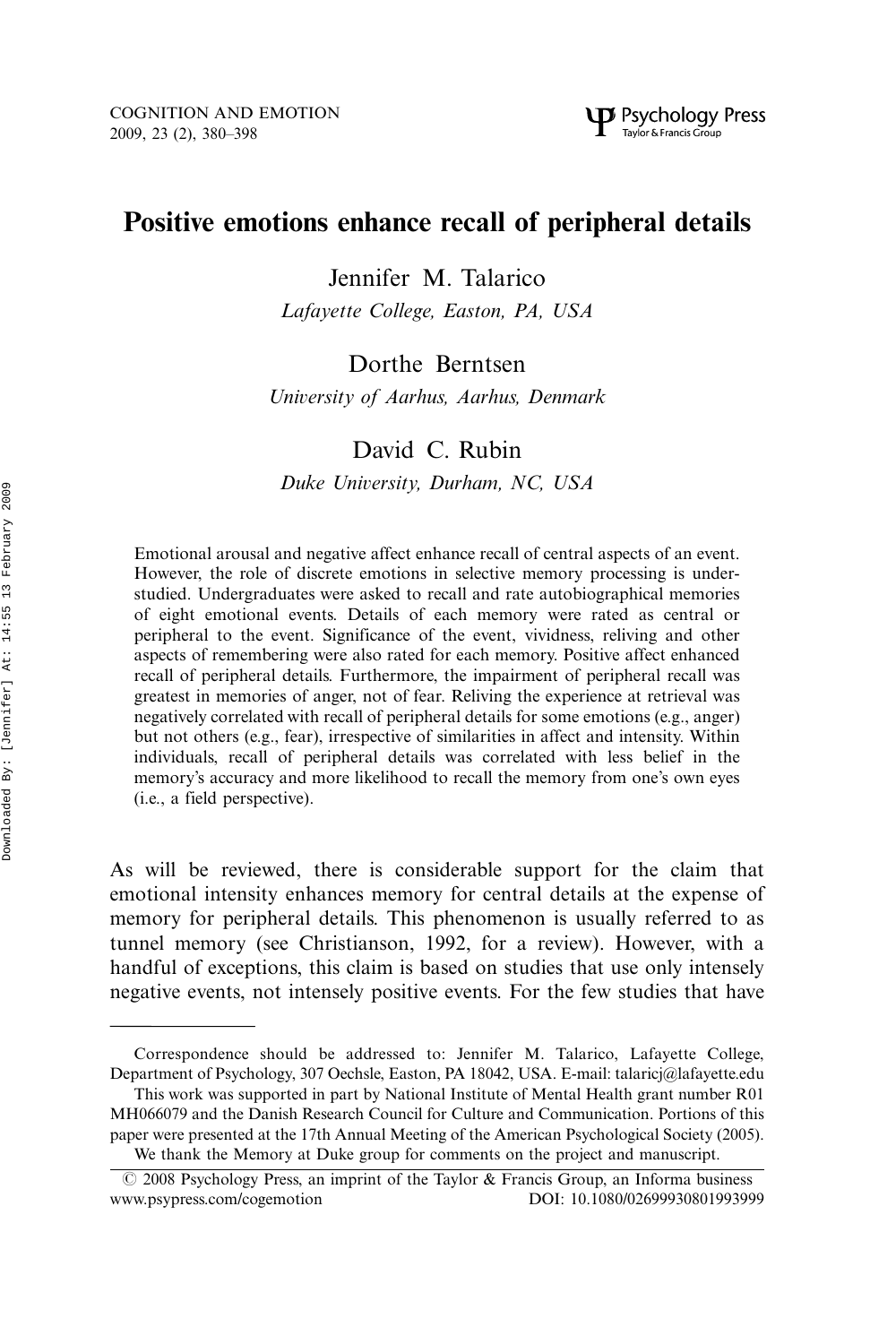# Positive emotions enhance recall of peripheral details

Jennifer M. Talarico

Lafayette College, Easton, PA, USA

## Dorthe Berntsen

University of Aarhus, Aarhus, Denmark

### David C. Rubin

Duke University, Durham, NC, USA

Emotional arousal and negative affect enhance recall of central aspects of an event. However, the role of discrete emotions in selective memory processing is understudied. Undergraduates were asked to recall and rate autobiographical memories of eight emotional events. Details of each memory were rated as central or peripheral to the event. Significance of the event, vividness, reliving and other aspects of remembering were also rated for each memory. Positive affect enhanced recall of peripheral details. Furthermore, the impairment of peripheral recall was greatest in memories of anger, not of fear. Reliving the experience at retrieval was negatively correlated with recall of peripheral details for some emotions (e.g., anger) but not others (e.g., fear), irrespective of similarities in affect and intensity. Within individuals, recall of peripheral details was correlated with less belief in the memory's accuracy and more likelihood to recall the memory from one's own eyes (i.e., a field perspective).

As will be reviewed, there is considerable support for the claim that emotional intensity enhances memory for central details at the expense of memory for peripheral details. This phenomenon is usually referred to as tunnel memory (see Christianson, 1992, for a review). However, with a handful of exceptions, this claim is based on studies that use only intensely negative events, not intensely positive events. For the few studies that have

Correspondence should be addressed to: Jennifer M. Talarico, Lafayette College, Department of Psychology, 307 Oechsle, Easton, PA 18042, USA. E-mail: talaricj@lafayette.edu

This work was supported in part by National Institute of Mental Health grant number R01 MH066079 and the Danish Research Council for Culture and Communication. Portions of this paper were presented at the 17th Annual Meeting of the American Psychological Society (2005). We thank the Memory at Duke group for comments on the project and manuscript.

 $\odot$  2008 Psychology Press, an imprint of the Taylor & Francis Group, an Informa business www.psypress.com/cogemotion DOI: 10.1080/02699930801993999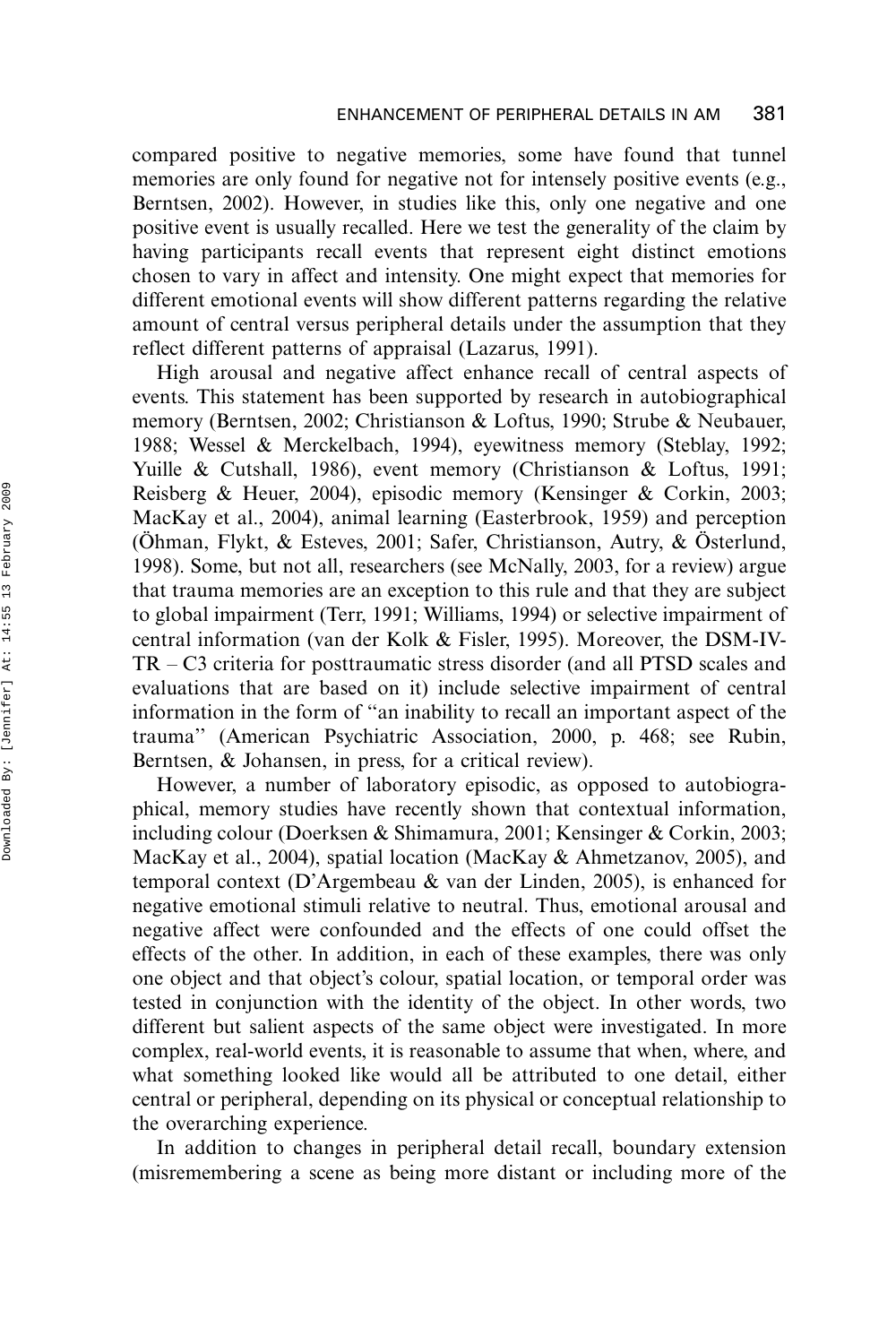compared positive to negative memories, some have found that tunnel memories are only found for negative not for intensely positive events (e.g., Berntsen, 2002). However, in studies like this, only one negative and one positive event is usually recalled. Here we test the generality of the claim by having participants recall events that represent eight distinct emotions chosen to vary in affect and intensity. One might expect that memories for different emotional events will show different patterns regarding the relative amount of central versus peripheral details under the assumption that they reflect different patterns of appraisal (Lazarus, 1991).

High arousal and negative affect enhance recall of central aspects of events. This statement has been supported by research in autobiographical memory (Berntsen, 2002; Christianson & Loftus, 1990; Strube & Neubauer, 1988; Wessel & Merckelbach, 1994), eyewitness memory (Steblay, 1992; Yuille & Cutshall, 1986), event memory (Christianson & Loftus, 1991; Reisberg & Heuer, 2004), episodic memory (Kensinger & Corkin, 2003; MacKay et al., 2004), animal learning (Easterbrook, 1959) and perception (Ohman, Flykt, & Esteves, 2001; Safer, Christianson, Autry, & Osterlund, 1998). Some, but not all, researchers (see McNally, 2003, for a review) argue that trauma memories are an exception to this rule and that they are subject to global impairment (Terr, 1991; Williams, 1994) or selective impairment of central information (van der Kolk & Fisler, 1995). Moreover, the DSM-IV- $TR - C3$  criteria for posttraumatic stress disorder (and all PTSD scales and evaluations that are based on it) include selective impairment of central information in the form of ''an inability to recall an important aspect of the trauma'' (American Psychiatric Association, 2000, p. 468; see Rubin, Berntsen, & Johansen, in press, for a critical review).

However, a number of laboratory episodic, as opposed to autobiographical, memory studies have recently shown that contextual information, including colour (Doerksen & Shimamura, 2001; Kensinger & Corkin, 2003; MacKay et al., 2004), spatial location (MacKay & Ahmetzanov, 2005), and temporal context (D'Argembeau & van der Linden, 2005), is enhanced for negative emotional stimuli relative to neutral. Thus, emotional arousal and negative affect were confounded and the effects of one could offset the effects of the other. In addition, in each of these examples, there was only one object and that object's colour, spatial location, or temporal order was tested in conjunction with the identity of the object. In other words, two different but salient aspects of the same object were investigated. In more complex, real-world events, it is reasonable to assume that when, where, and what something looked like would all be attributed to one detail, either central or peripheral, depending on its physical or conceptual relationship to the overarching experience.

In addition to changes in peripheral detail recall, boundary extension (misremembering a scene as being more distant or including more of the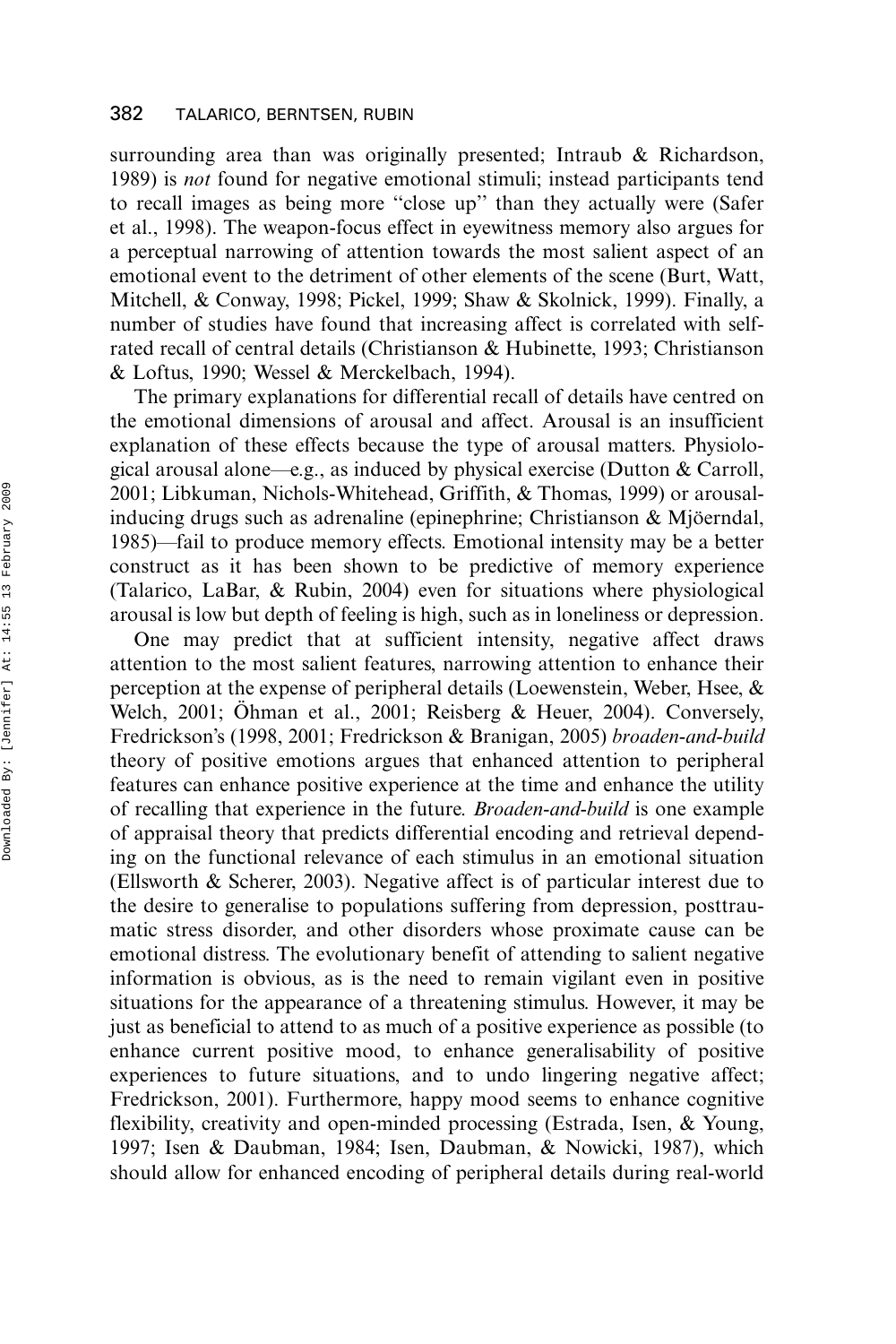surrounding area than was originally presented; Intraub  $\&$  Richardson, 1989) is not found for negative emotional stimuli; instead participants tend to recall images as being more ''close up'' than they actually were (Safer et al., 1998). The weapon-focus effect in eyewitness memory also argues for a perceptual narrowing of attention towards the most salient aspect of an emotional event to the detriment of other elements of the scene (Burt, Watt, Mitchell, & Conway, 1998; Pickel, 1999; Shaw & Skolnick, 1999). Finally, a number of studies have found that increasing affect is correlated with selfrated recall of central details (Christianson & Hubinette, 1993; Christianson & Loftus, 1990; Wessel & Merckelbach, 1994).

The primary explanations for differential recall of details have centred on the emotional dimensions of arousal and affect. Arousal is an insufficient explanation of these effects because the type of arousal matters. Physiological arousal alone—e.g., as induced by physical exercise (Dutton & Carroll, 2001; Libkuman, Nichols-Whitehead, Griffith, & Thomas, 1999) or arousalinducing drugs such as adrenaline (epinephrine; Christianson  $\&$  Mjöerndal, 1985)—fail to produce memory effects. Emotional intensity may be a better construct as it has been shown to be predictive of memory experience (Talarico, LaBar, & Rubin, 2004) even for situations where physiological arousal is low but depth of feeling is high, such as in loneliness or depression.

One may predict that at sufficient intensity, negative affect draws attention to the most salient features, narrowing attention to enhance their perception at the expense of peripheral details (Loewenstein, Weber, Hsee, & Welch, 2001; Ohman et al., 2001; Reisberg & Heuer, 2004). Conversely, Fredrickson's (1998, 2001; Fredrickson & Branigan, 2005) broaden-and-build theory of positive emotions argues that enhanced attention to peripheral features can enhance positive experience at the time and enhance the utility of recalling that experience in the future. Broaden-and-build is one example of appraisal theory that predicts differential encoding and retrieval depending on the functional relevance of each stimulus in an emotional situation (Ellsworth & Scherer, 2003). Negative affect is of particular interest due to the desire to generalise to populations suffering from depression, posttraumatic stress disorder, and other disorders whose proximate cause can be emotional distress. The evolutionary benefit of attending to salient negative information is obvious, as is the need to remain vigilant even in positive situations for the appearance of a threatening stimulus. However, it may be just as beneficial to attend to as much of a positive experience as possible (to enhance current positive mood, to enhance generalisability of positive experiences to future situations, and to undo lingering negative affect; Fredrickson, 2001). Furthermore, happy mood seems to enhance cognitive flexibility, creativity and open-minded processing (Estrada, Isen, & Young, 1997; Isen & Daubman, 1984; Isen, Daubman, & Nowicki, 1987), which should allow for enhanced encoding of peripheral details during real-world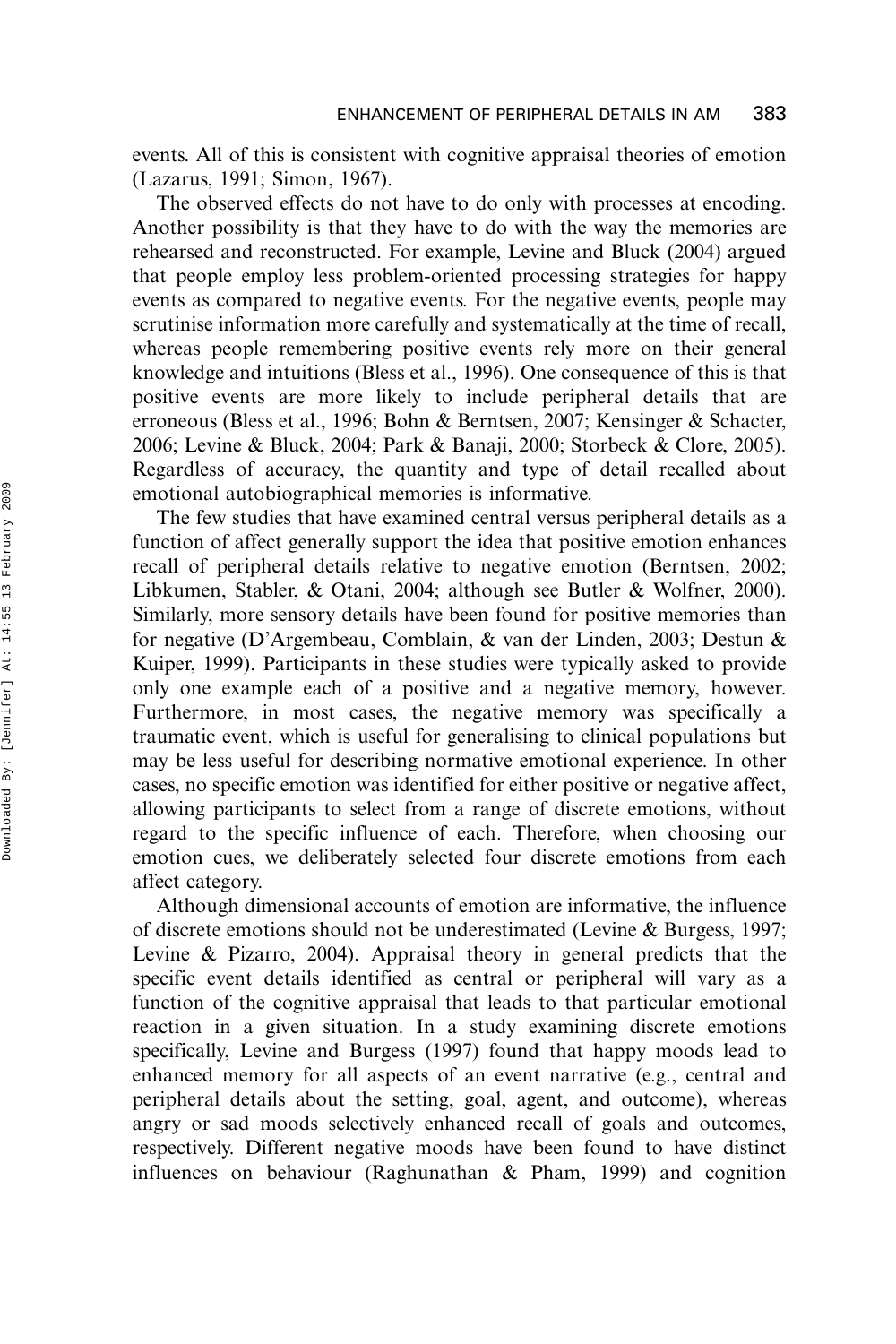events. All of this is consistent with cognitive appraisal theories of emotion (Lazarus, 1991; Simon, 1967).

The observed effects do not have to do only with processes at encoding. Another possibility is that they have to do with the way the memories are rehearsed and reconstructed. For example, Levine and Bluck (2004) argued that people employ less problem-oriented processing strategies for happy events as compared to negative events. For the negative events, people may scrutinise information more carefully and systematically at the time of recall, whereas people remembering positive events rely more on their general knowledge and intuitions (Bless et al., 1996). One consequence of this is that positive events are more likely to include peripheral details that are erroneous (Bless et al., 1996; Bohn & Berntsen, 2007; Kensinger & Schacter, 2006; Levine & Bluck, 2004; Park & Banaji, 2000; Storbeck & Clore, 2005). Regardless of accuracy, the quantity and type of detail recalled about emotional autobiographical memories is informative.

The few studies that have examined central versus peripheral details as a function of affect generally support the idea that positive emotion enhances recall of peripheral details relative to negative emotion (Berntsen, 2002; Libkumen, Stabler, & Otani, 2004; although see Butler & Wolfner, 2000). Similarly, more sensory details have been found for positive memories than for negative (D'Argembeau, Comblain, & van der Linden, 2003; Destun & Kuiper, 1999). Participants in these studies were typically asked to provide only one example each of a positive and a negative memory, however. Furthermore, in most cases, the negative memory was specifically a traumatic event, which is useful for generalising to clinical populations but may be less useful for describing normative emotional experience. In other cases, no specific emotion was identified for either positive or negative affect, allowing participants to select from a range of discrete emotions, without regard to the specific influence of each. Therefore, when choosing our emotion cues, we deliberately selected four discrete emotions from each affect category.

Although dimensional accounts of emotion are informative, the influence of discrete emotions should not be underestimated (Levine & Burgess, 1997; Levine & Pizarro, 2004). Appraisal theory in general predicts that the specific event details identified as central or peripheral will vary as a function of the cognitive appraisal that leads to that particular emotional reaction in a given situation. In a study examining discrete emotions specifically, Levine and Burgess (1997) found that happy moods lead to enhanced memory for all aspects of an event narrative (e.g., central and peripheral details about the setting, goal, agent, and outcome), whereas angry or sad moods selectively enhanced recall of goals and outcomes, respectively. Different negative moods have been found to have distinct influences on behaviour (Raghunathan & Pham, 1999) and cognition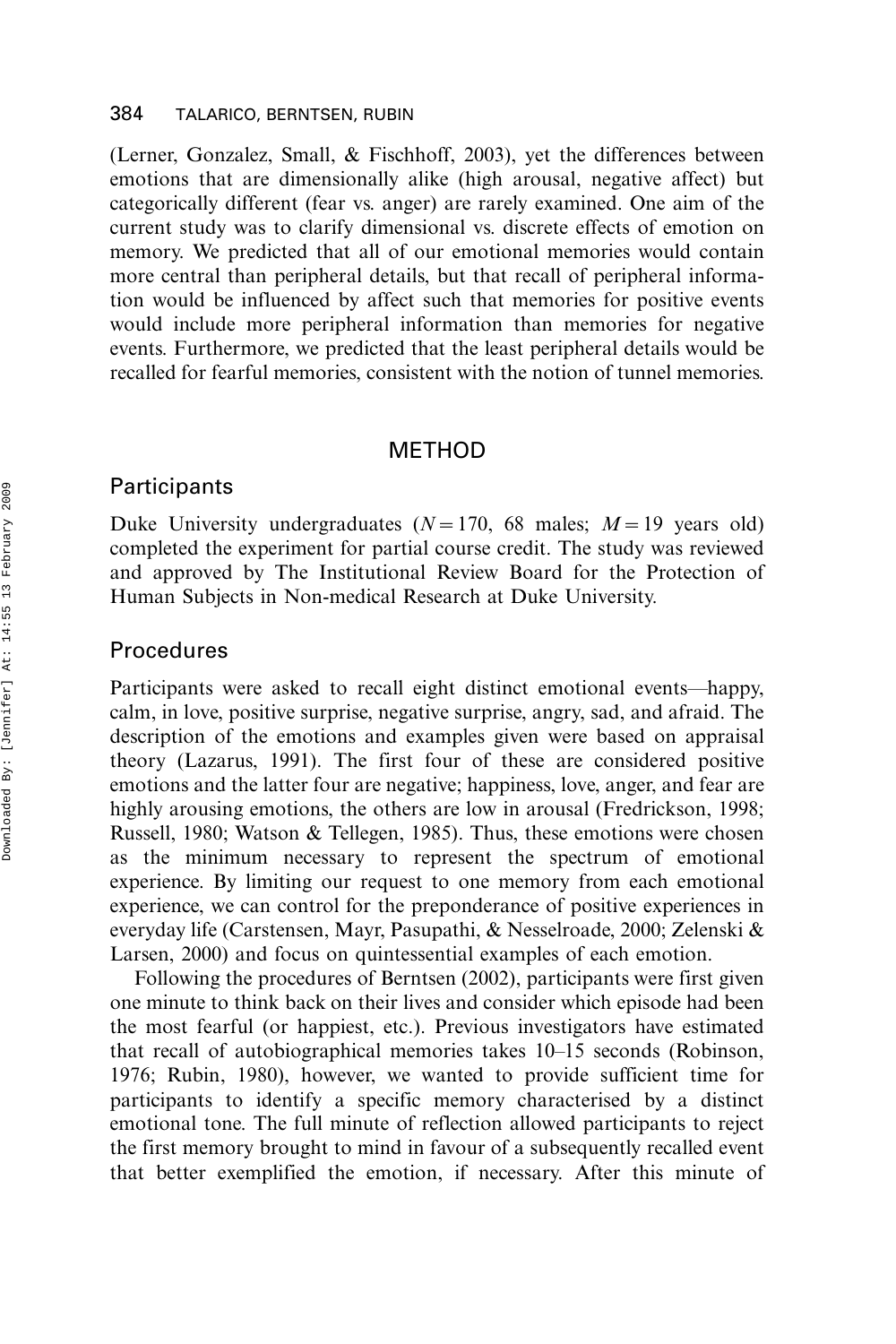(Lerner, Gonzalez, Small, & Fischhoff, 2003), yet the differences between emotions that are dimensionally alike (high arousal, negative affect) but categorically different (fear vs. anger) are rarely examined. One aim of the current study was to clarify dimensional vs. discrete effects of emotion on memory. We predicted that all of our emotional memories would contain more central than peripheral details, but that recall of peripheral information would be influenced by affect such that memories for positive events would include more peripheral information than memories for negative events. Furthermore, we predicted that the least peripheral details would be recalled for fearful memories, consistent with the notion of tunnel memories.

### METHOD

#### **Participants**

Duke University undergraduates ( $N=170$ , 68 males;  $M=19$  years old) completed the experiment for partial course credit. The study was reviewed and approved by The Institutional Review Board for the Protection of Human Subjects in Non-medical Research at Duke University.

#### Procedures

Participants were asked to recall eight distinct emotional events—happy, calm, in love, positive surprise, negative surprise, angry, sad, and afraid. The description of the emotions and examples given were based on appraisal theory (Lazarus, 1991). The first four of these are considered positive emotions and the latter four are negative; happiness, love, anger, and fear are highly arousing emotions, the others are low in arousal (Fredrickson, 1998; Russell, 1980; Watson & Tellegen, 1985). Thus, these emotions were chosen as the minimum necessary to represent the spectrum of emotional experience. By limiting our request to one memory from each emotional experience, we can control for the preponderance of positive experiences in everyday life (Carstensen, Mayr, Pasupathi, & Nesselroade, 2000; Zelenski & Larsen, 2000) and focus on quintessential examples of each emotion.

Following the procedures of Berntsen (2002), participants were first given one minute to think back on their lives and consider which episode had been the most fearful (or happiest, etc.). Previous investigators have estimated that recall of autobiographical memories takes  $10-15$  seconds (Robinson, 1976; Rubin, 1980), however, we wanted to provide sufficient time for participants to identify a specific memory characterised by a distinct emotional tone. The full minute of reflection allowed participants to reject the first memory brought to mind in favour of a subsequently recalled event that better exemplified the emotion, if necessary. After this minute of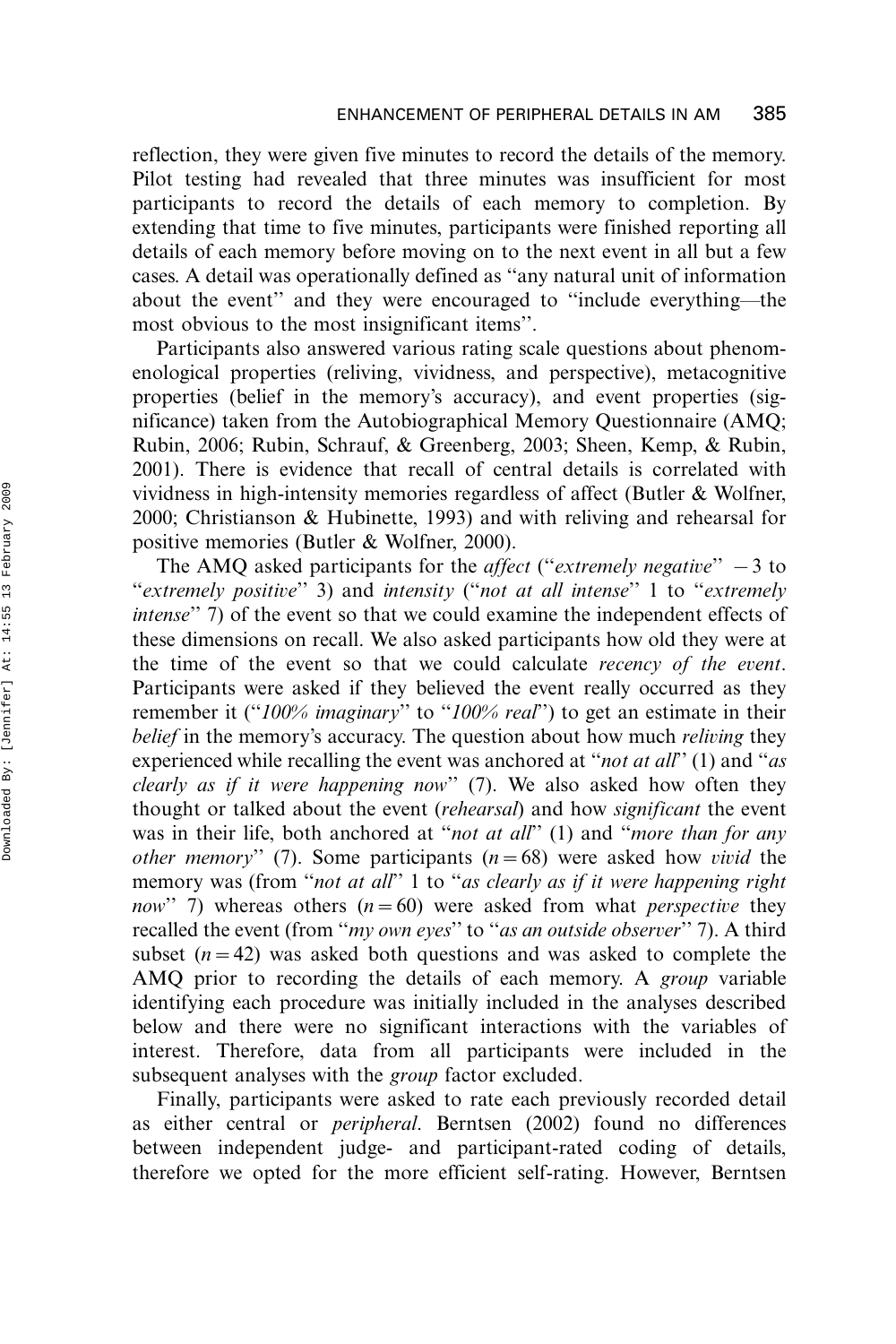reflection, they were given five minutes to record the details of the memory. Pilot testing had revealed that three minutes was insufficient for most participants to record the details of each memory to completion. By extending that time to five minutes, participants were finished reporting all details of each memory before moving on to the next event in all but a few cases. A detail was operationally defined as ''any natural unit of information about the event" and they were encouraged to "include everything—the most obvious to the most insignificant items''.

Participants also answered various rating scale questions about phenomenological properties (reliving, vividness, and perspective), metacognitive properties (belief in the memory's accuracy), and event properties (significance) taken from the Autobiographical Memory Questionnaire (AMQ; Rubin, 2006; Rubin, Schrauf, & Greenberg, 2003; Sheen, Kemp, & Rubin, 2001). There is evidence that recall of central details is correlated with vividness in high-intensity memories regardless of affect (Butler & Wolfner, 2000; Christianson & Hubinette, 1993) and with reliving and rehearsal for positive memories (Butler & Wolfner, 2000).

The AMQ asked participants for the *affect* ("extremely negative"  $-3$  to "extremely positive" 3) and intensity ("not at all intense" 1 to "extremely intense'' 7) of the event so that we could examine the independent effects of these dimensions on recall. We also asked participants how old they were at the time of the event so that we could calculate recency of the event. Participants were asked if they believed the event really occurred as they remember it ("100% imaginary" to "100% real") to get an estimate in their belief in the memory's accuracy. The question about how much *reliving* they experienced while recalling the event was anchored at "*not at all*" (1) and "*as* clearly as if it were happening now'' (7). We also asked how often they thought or talked about the event (rehearsal) and how significant the event was in their life, both anchored at "not at all" (1) and "more than for any *other memory*" (7). Some participants ( $n=68$ ) were asked how *vivid* the memory was (from "not at all" 1 to "as clearly as if it were happening right now" 7) whereas others  $(n=60)$  were asked from what *perspective* they recalled the event (from "my own eyes" to "as an outside observer" 7). A third subset  $(n=42)$  was asked both questions and was asked to complete the AMQ prior to recording the details of each memory. A group variable identifying each procedure was initially included in the analyses described below and there were no significant interactions with the variables of interest. Therefore, data from all participants were included in the subsequent analyses with the *group* factor excluded.

Finally, participants were asked to rate each previously recorded detail as either central or peripheral. Berntsen (2002) found no differences between independent judge- and participant-rated coding of details, therefore we opted for the more efficient self-rating. However, Berntsen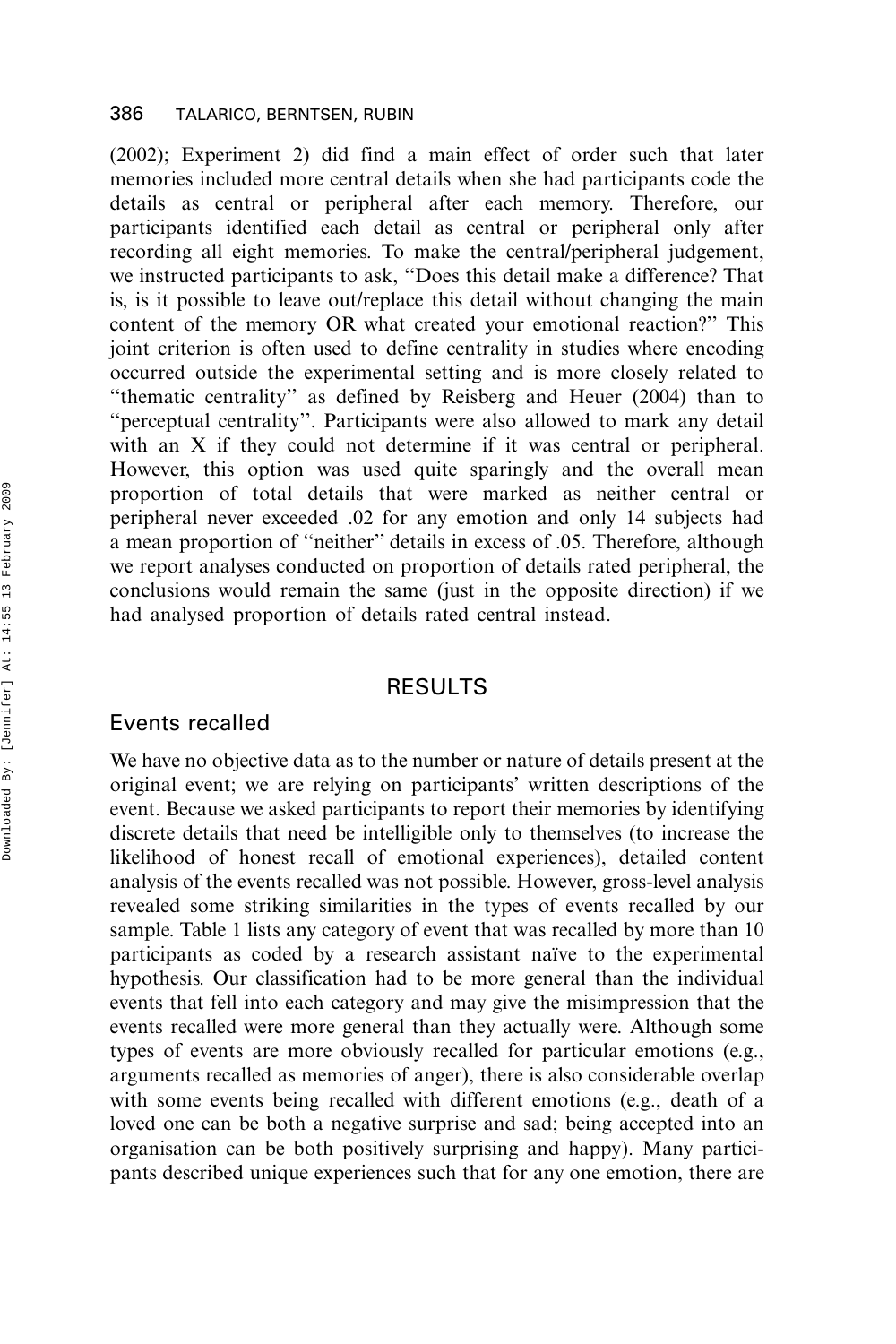(2002); Experiment 2) did find a main effect of order such that later memories included more central details when she had participants code the details as central or peripheral after each memory. Therefore, our participants identified each detail as central or peripheral only after recording all eight memories. To make the central/peripheral judgement, we instructed participants to ask, ''Does this detail make a difference? That is, is it possible to leave out/replace this detail without changing the main content of the memory OR what created your emotional reaction?'' This joint criterion is often used to define centrality in studies where encoding occurred outside the experimental setting and is more closely related to ''thematic centrality'' as defined by Reisberg and Heuer (2004) than to "perceptual centrality". Participants were also allowed to mark any detail with an X if they could not determine if it was central or peripheral. However, this option was used quite sparingly and the overall mean proportion of total details that were marked as neither central or peripheral never exceeded .02 for any emotion and only 14 subjects had a mean proportion of ''neither'' details in excess of .05. Therefore, although we report analyses conducted on proportion of details rated peripheral, the conclusions would remain the same (just in the opposite direction) if we had analysed proportion of details rated central instead.

### RESULTS

### Events recalled

We have no objective data as to the number or nature of details present at the original event; we are relying on participants' written descriptions of the event. Because we asked participants to report their memories by identifying discrete details that need be intelligible only to themselves (to increase the likelihood of honest recall of emotional experiences), detailed content analysis of the events recalled was not possible. However, gross-level analysis revealed some striking similarities in the types of events recalled by our sample. Table 1 lists any category of event that was recalled by more than 10 participants as coded by a research assistant naïve to the experimental hypothesis. Our classification had to be more general than the individual events that fell into each category and may give the misimpression that the events recalled were more general than they actually were. Although some types of events are more obviously recalled for particular emotions (e.g., arguments recalled as memories of anger), there is also considerable overlap with some events being recalled with different emotions (e.g., death of a loved one can be both a negative surprise and sad; being accepted into an organisation can be both positively surprising and happy). Many participants described unique experiences such that for any one emotion, there are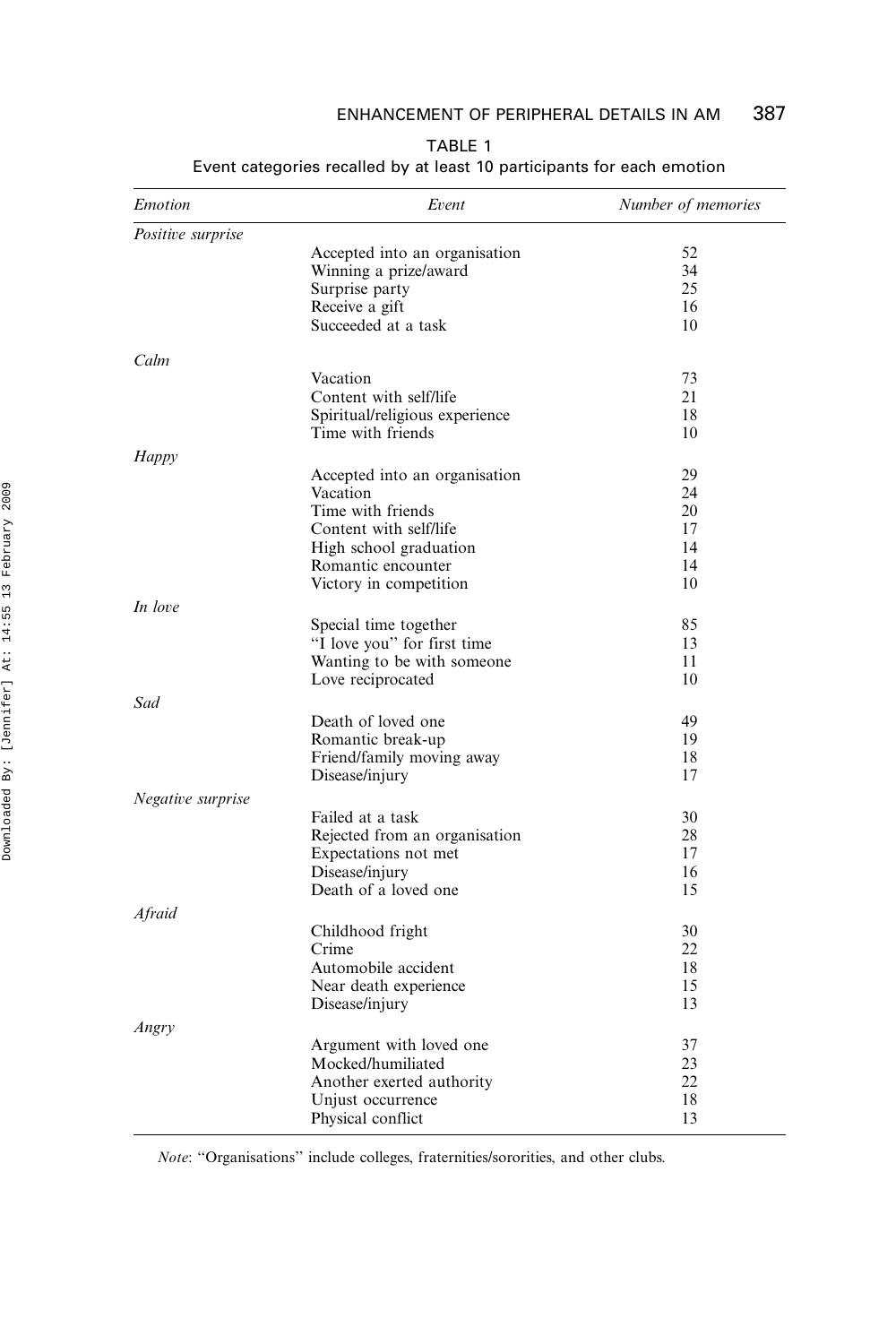| ABI F |  |
|-------|--|
|-------|--|

| Emotion           | Event                          | Number of memories |  |  |
|-------------------|--------------------------------|--------------------|--|--|
| Positive surprise |                                |                    |  |  |
|                   | Accepted into an organisation  | 52                 |  |  |
|                   | Winning a prize/award          | 34                 |  |  |
|                   | Surprise party                 | 25                 |  |  |
|                   | Receive a gift                 | 16                 |  |  |
|                   | Succeeded at a task            | 10                 |  |  |
| Calm              |                                |                    |  |  |
|                   | Vacation                       | 73                 |  |  |
|                   | Content with self/life         | 21                 |  |  |
|                   | Spiritual/religious experience | 18                 |  |  |
|                   | Time with friends              | 10                 |  |  |
| Happy             |                                |                    |  |  |
|                   | Accepted into an organisation  | 29                 |  |  |
|                   | Vacation                       | 24                 |  |  |
|                   | Time with friends              | 20                 |  |  |
|                   | Content with self/life         | 17                 |  |  |
|                   | High school graduation         | 14                 |  |  |
|                   | Romantic encounter             | 14                 |  |  |
|                   | Victory in competition         | 10                 |  |  |
| In love           |                                |                    |  |  |
|                   | Special time together          | 85                 |  |  |
|                   | "I love you" for first time    | 13                 |  |  |
|                   | Wanting to be with someone     | 11                 |  |  |
|                   | Love reciprocated              | 10                 |  |  |
| Sad               |                                |                    |  |  |
|                   | Death of loved one             | 49                 |  |  |
|                   | Romantic break-up              | 19                 |  |  |
|                   | Friend/family moving away      | 18                 |  |  |
|                   | Disease/injury                 | 17                 |  |  |
| Negative surprise |                                |                    |  |  |
|                   | Failed at a task               | 30                 |  |  |
|                   | Rejected from an organisation  | 28                 |  |  |
|                   | Expectations not met           | 17                 |  |  |
|                   | Disease/injury                 | 16                 |  |  |
|                   | Death of a loved one           | 15                 |  |  |
| Afraid            |                                |                    |  |  |
|                   | Childhood fright               | 30                 |  |  |
|                   | Crime                          | 22                 |  |  |
|                   | Automobile accident            | 18                 |  |  |
|                   | Near death experience          | 15                 |  |  |
|                   | Disease/injury                 | 13                 |  |  |
| Angry             |                                |                    |  |  |
|                   | Argument with loved one        | 37                 |  |  |
|                   | Mocked/humiliated              | 23                 |  |  |
|                   | Another exerted authority      | 22                 |  |  |
|                   | Unjust occurrence              | 18                 |  |  |
|                   | Physical conflict              | 13                 |  |  |

#### Event categories recalled by at least 10 participants for each emotion

Note: ''Organisations'' include colleges, fraternities/sororities, and other clubs.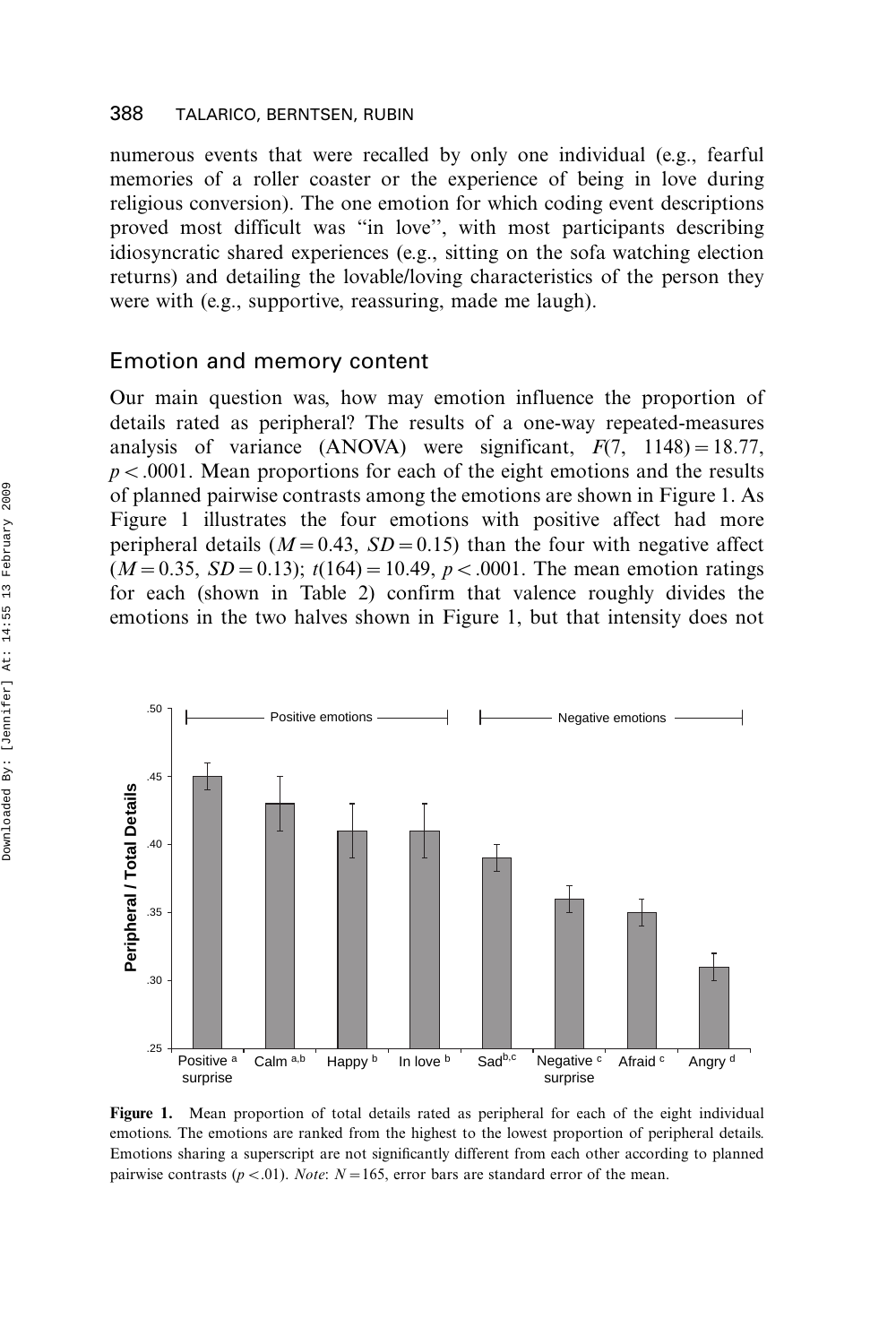numerous events that were recalled by only one individual (e.g., fearful memories of a roller coaster or the experience of being in love during religious conversion). The one emotion for which coding event descriptions proved most difficult was ''in love'', with most participants describing idiosyncratic shared experiences (e.g., sitting on the sofa watching election returns) and detailing the lovable/loving characteristics of the person they were with (e.g., supportive, reassuring, made me laugh).

### Emotion and memory content

Our main question was, how may emotion influence the proportion of details rated as peripheral? The results of a one-way repeated-measures analysis of variance (ANOVA) were significant,  $F(7, 1148) = 18.77$ ,  $p < .0001$ . Mean proportions for each of the eight emotions and the results of planned pairwise contrasts among the emotions are shown in Figure 1. As Figure 1 illustrates the four emotions with positive affect had more peripheral details ( $M=0.43$ ,  $SD=0.15$ ) than the four with negative affect  $(M=0.35, SD=0.13)$ ;  $t(164)=10.49, p<0.001$ . The mean emotion ratings for each (shown in Table 2) confirm that valence roughly divides the emotions in the two halves shown in Figure 1, but that intensity does not



Figure 1. Mean proportion of total details rated as peripheral for each of the eight individual emotions. The emotions are ranked from the highest to the lowest proportion of peripheral details. Emotions sharing a superscript are not significantly different from each other according to planned pairwise contrasts ( $p < 0.01$ ). Note:  $N = 165$ , error bars are standard error of the mean.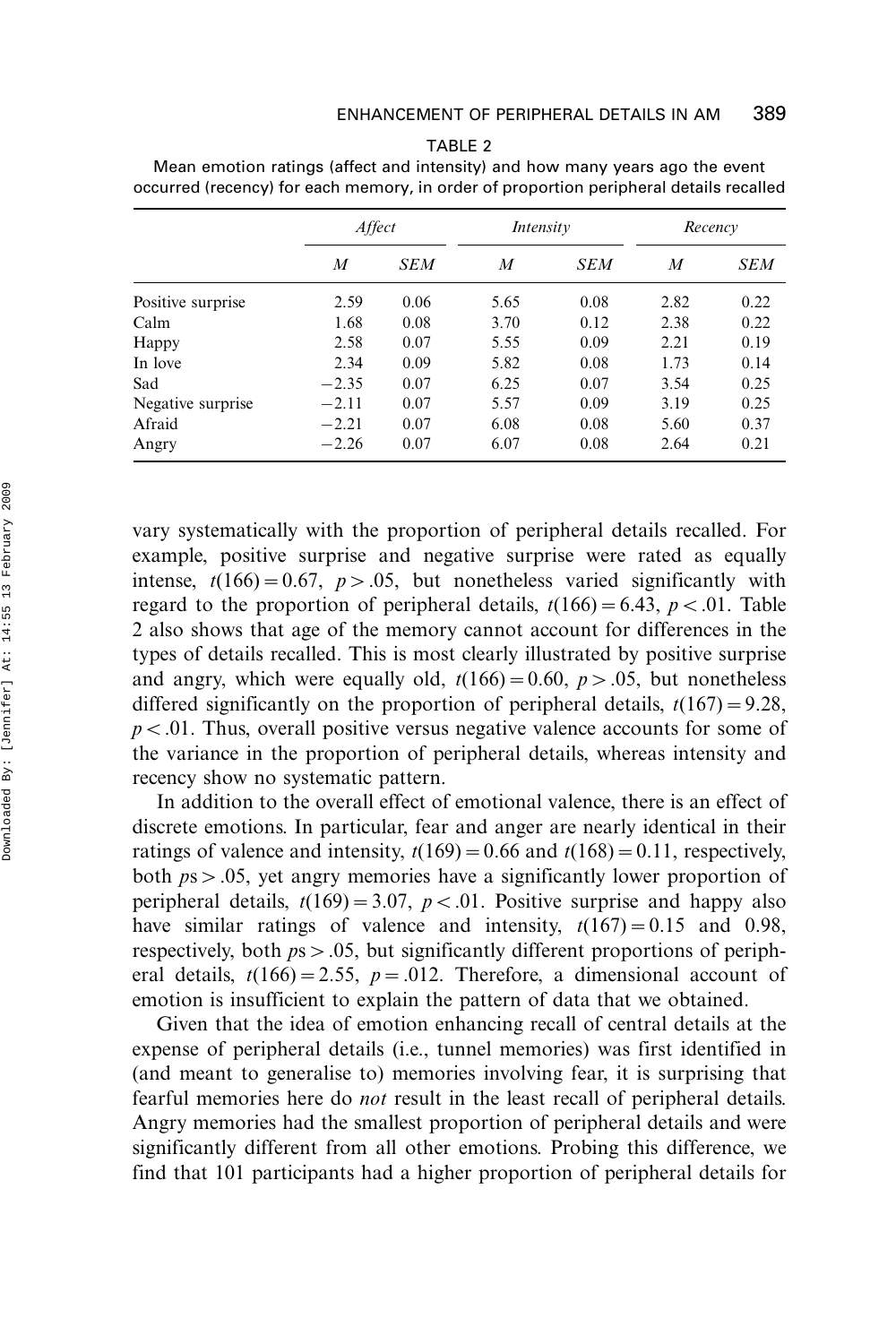|                   | Affect  |            | Intensity |            | Recency |            |
|-------------------|---------|------------|-----------|------------|---------|------------|
|                   | M       | <b>SEM</b> | M         | <b>SEM</b> | M       | <b>SEM</b> |
| Positive surprise | 2.59    | 0.06       | 5.65      | 0.08       | 2.82    | 0.22       |
| Calm              | 1.68    | 0.08       | 3.70      | 0.12       | 2.38    | 0.22       |
| Happy             | 2.58    | 0.07       | 5.55      | 0.09       | 2.21    | 0.19       |
| In love           | 2.34    | 0.09       | 5.82      | 0.08       | 1.73    | 0.14       |
| Sad               | $-2.35$ | 0.07       | 6.25      | 0.07       | 3.54    | 0.25       |
| Negative surprise | $-2.11$ | 0.07       | 5.57      | 0.09       | 3.19    | 0.25       |
| Afraid            | $-2.21$ | 0.07       | 6.08      | 0.08       | 5.60    | 0.37       |
| Angry             | $-2.26$ | 0.07       | 6.07      | 0.08       | 2.64    | 0.21       |

| TABLE 2                                                                                |
|----------------------------------------------------------------------------------------|
| Mean emotion ratings (affect and intensity) and how many years ago the event           |
| occurred (recency) for each memory, in order of proportion peripheral details recalled |

vary systematically with the proportion of peripheral details recalled. For example, positive surprise and negative surprise were rated as equally intense,  $t(166) = 0.67$ ,  $p > 0.05$ , but nonetheless varied significantly with regard to the proportion of peripheral details,  $t(166) = 6.43$ ,  $p < .01$ . Table 2 also shows that age of the memory cannot account for differences in the types of details recalled. This is most clearly illustrated by positive surprise and angry, which were equally old,  $t(166) = 0.60$ ,  $p > .05$ , but nonetheless differed significantly on the proportion of peripheral details,  $t(167) = 9.28$ ,  $p < .01$ . Thus, overall positive versus negative valence accounts for some of the variance in the proportion of peripheral details, whereas intensity and recency show no systematic pattern.

In addition to the overall effect of emotional valence, there is an effect of discrete emotions. In particular, fear and anger are nearly identical in their ratings of valence and intensity,  $t(169) = 0.66$  and  $t(168) = 0.11$ , respectively, both  $ps > .05$ , yet angry memories have a significantly lower proportion of peripheral details,  $t(169) = 3.07$ ,  $p < .01$ . Positive surprise and happy also have similar ratings of valence and intensity,  $t(167)=0.15$  and 0.98, respectively, both  $ps > .05$ , but significantly different proportions of peripheral details,  $t(166) = 2.55$ ,  $p = .012$ . Therefore, a dimensional account of emotion is insufficient to explain the pattern of data that we obtained.

Given that the idea of emotion enhancing recall of central details at the expense of peripheral details (i.e., tunnel memories) was first identified in (and meant to generalise to) memories involving fear, it is surprising that fearful memories here do not result in the least recall of peripheral details. Angry memories had the smallest proportion of peripheral details and were significantly different from all other emotions. Probing this difference, we find that 101 participants had a higher proportion of peripheral details for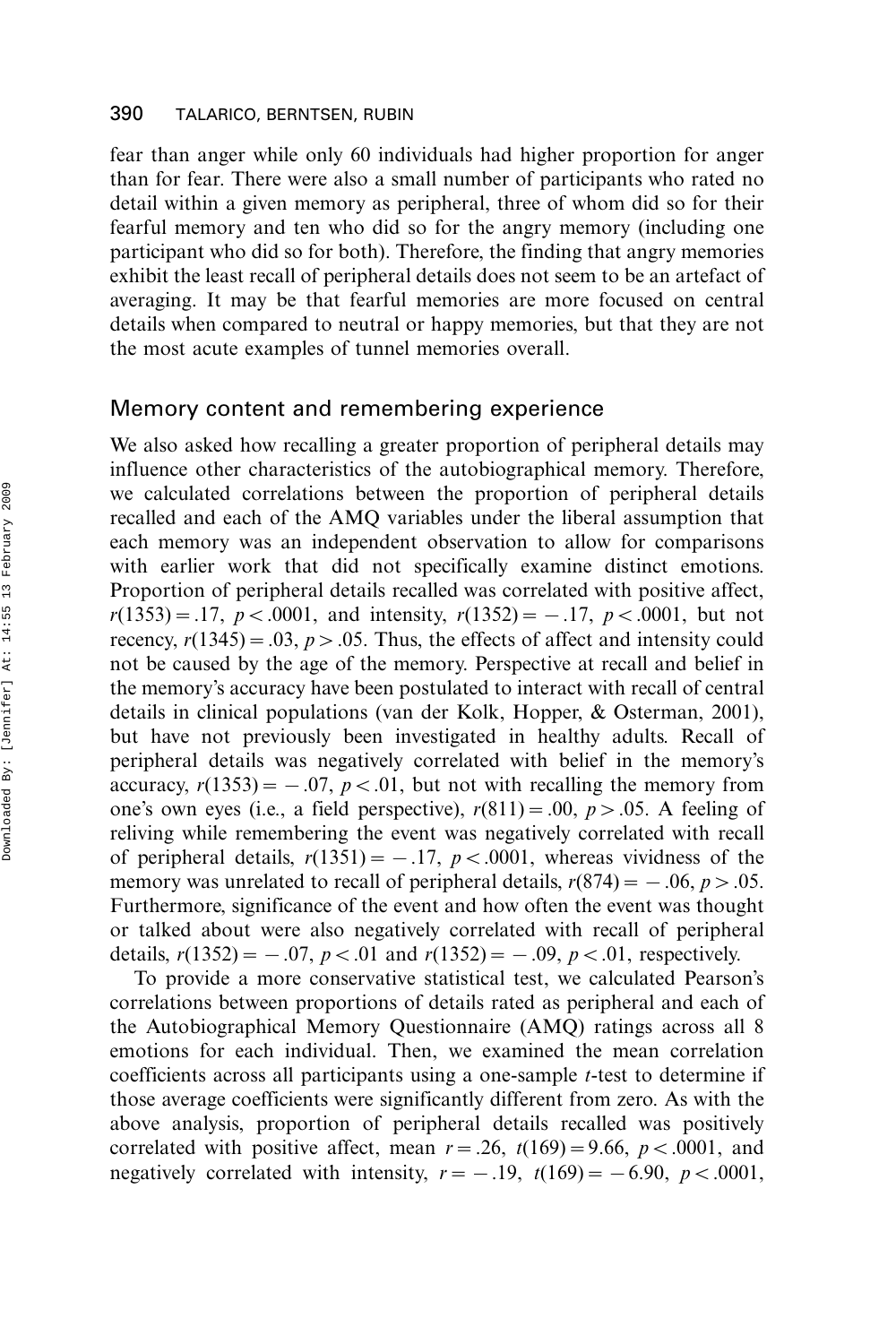fear than anger while only 60 individuals had higher proportion for anger than for fear. There were also a small number of participants who rated no detail within a given memory as peripheral, three of whom did so for their fearful memory and ten who did so for the angry memory (including one participant who did so for both). Therefore, the finding that angry memories exhibit the least recall of peripheral details does not seem to be an artefact of averaging. It may be that fearful memories are more focused on central details when compared to neutral or happy memories, but that they are not the most acute examples of tunnel memories overall.

### Memory content and remembering experience

We also asked how recalling a greater proportion of peripheral details may influence other characteristics of the autobiographical memory. Therefore, we calculated correlations between the proportion of peripheral details recalled and each of the AMQ variables under the liberal assumption that each memory was an independent observation to allow for comparisons with earlier work that did not specifically examine distinct emotions. Proportion of peripheral details recalled was correlated with positive affect,  $r(1353) = .17$ ,  $p < .0001$ , and intensity,  $r(1352) = -.17$ ,  $p < .0001$ , but not recency,  $r(1345) = .03$ ,  $p > .05$ . Thus, the effects of affect and intensity could not be caused by the age of the memory. Perspective at recall and belief in the memory's accuracy have been postulated to interact with recall of central details in clinical populations (van der Kolk, Hopper, & Osterman, 2001), but have not previously been investigated in healthy adults. Recall of peripheral details was negatively correlated with belief in the memory's accuracy,  $r(1353) = -.07$ ,  $p < .01$ , but not with recalling the memory from one's own eyes (i.e., a field perspective),  $r(811) = .00$ ,  $p > .05$ . A feeling of reliving while remembering the event was negatively correlated with recall of peripheral details,  $r(1351) = -.17$ ,  $p < .0001$ , whereas vividness of the memory was unrelated to recall of peripheral details,  $r(874) = -.06, p > .05$ . Furthermore, significance of the event and how often the event was thought or talked about were also negatively correlated with recall of peripheral details,  $r(1352) = -.07$ ,  $p < .01$  and  $r(1352) = -.09$ ,  $p < .01$ , respectively.

To provide a more conservative statistical test, we calculated Pearson's correlations between proportions of details rated as peripheral and each of the Autobiographical Memory Questionnaire (AMQ) ratings across all 8 emotions for each individual. Then, we examined the mean correlation coefficients across all participants using a one-sample t-test to determine if those average coefficients were significantly different from zero. As with the above analysis, proportion of peripheral details recalled was positively correlated with positive affect, mean  $r = .26$ ,  $t(169) = 9.66$ ,  $p < .0001$ , and negatively correlated with intensity,  $r = -.19$ ,  $t(169) = -6.90$ ,  $p < .0001$ ,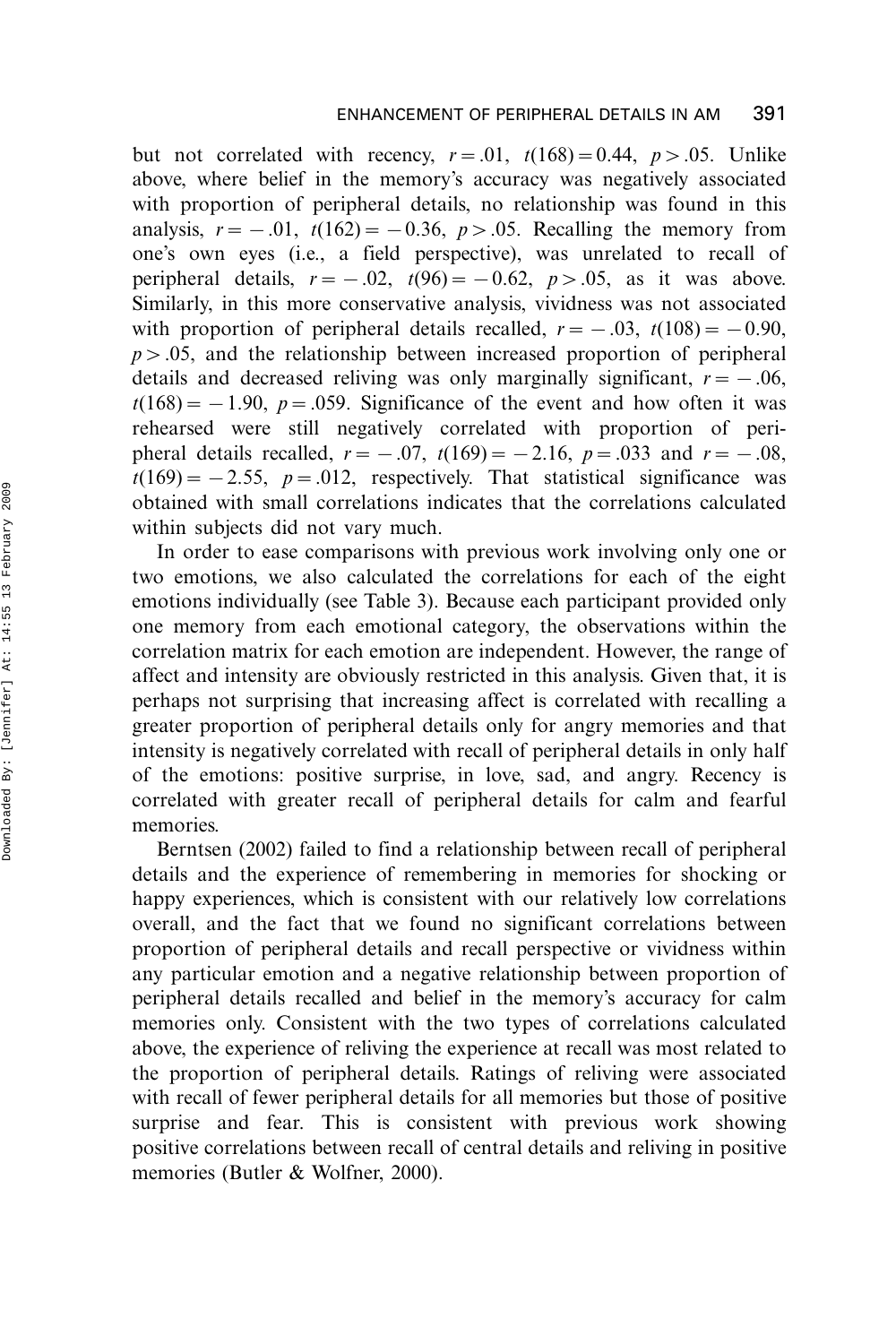but not correlated with recency,  $r = .01$ ,  $t(168) = 0.44$ ,  $p > .05$ . Unlike above, where belief in the memory's accuracy was negatively associated with proportion of peripheral details, no relationship was found in this analysis,  $r = -.01$ ,  $t(162) = -0.36$ ,  $p > .05$ . Recalling the memory from one's own eyes (i.e., a field perspective), was unrelated to recall of peripheral details,  $r = -.02$ ,  $t(96) = -0.62$ ,  $p > .05$ , as it was above. Similarly, in this more conservative analysis, vividness was not associated with proportion of peripheral details recalled,  $r = -.03$ ,  $t(108) = -0.90$ ,  $p > .05$ , and the relationship between increased proportion of peripheral details and decreased reliving was only marginally significant,  $r = -.06$ ,  $t(168)=-1.90$ ,  $p=.059$ . Significance of the event and how often it was rehearsed were still negatively correlated with proportion of peripheral details recalled,  $r = -.07$ ,  $t(169) = -2.16$ ,  $p = .033$  and  $r = -.08$ ,  $t(169) = -2.55$ ,  $p = .012$ , respectively. That statistical significance was obtained with small correlations indicates that the correlations calculated within subjects did not vary much.

In order to ease comparisons with previous work involving only one or two emotions, we also calculated the correlations for each of the eight emotions individually (see Table 3). Because each participant provided only one memory from each emotional category, the observations within the correlation matrix for each emotion are independent. However, the range of affect and intensity are obviously restricted in this analysis. Given that, it is perhaps not surprising that increasing affect is correlated with recalling a greater proportion of peripheral details only for angry memories and that intensity is negatively correlated with recall of peripheral details in only half of the emotions: positive surprise, in love, sad, and angry. Recency is correlated with greater recall of peripheral details for calm and fearful memories.

Berntsen (2002) failed to find a relationship between recall of peripheral details and the experience of remembering in memories for shocking or happy experiences, which is consistent with our relatively low correlations overall, and the fact that we found no significant correlations between proportion of peripheral details and recall perspective or vividness within any particular emotion and a negative relationship between proportion of peripheral details recalled and belief in the memory's accuracy for calm memories only. Consistent with the two types of correlations calculated above, the experience of reliving the experience at recall was most related to the proportion of peripheral details. Ratings of reliving were associated with recall of fewer peripheral details for all memories but those of positive surprise and fear. This is consistent with previous work showing positive correlations between recall of central details and reliving in positive memories (Butler & Wolfner, 2000).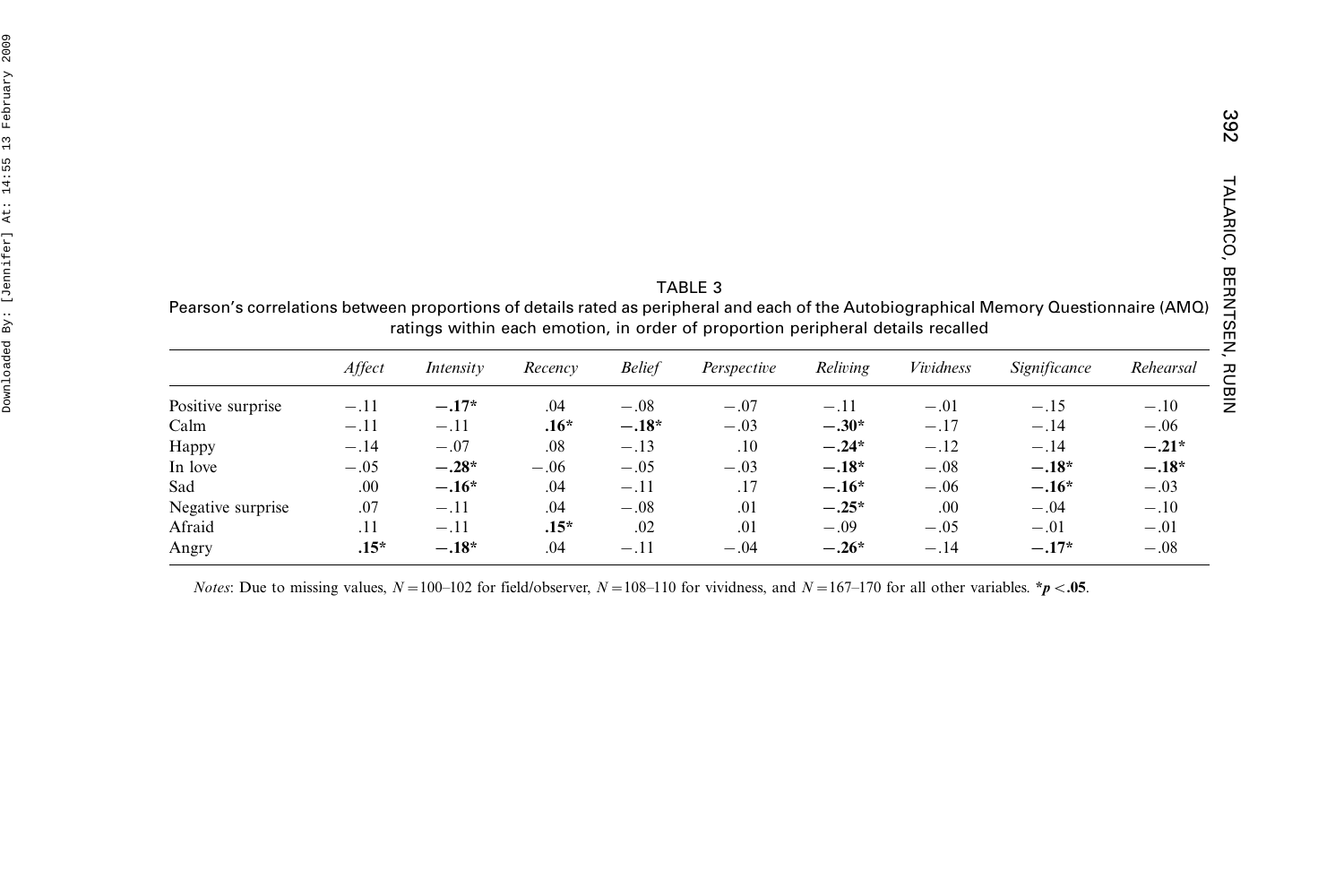| Pearson's correlations between proportions of details rated as peripheral and each of the Autobiographical Memory Questionnaire (AMQ)<br>ratings within each emotion, in order of proportion peripheral details recalled |        |           |         |               |             |          |           |                     |           |
|--------------------------------------------------------------------------------------------------------------------------------------------------------------------------------------------------------------------------|--------|-----------|---------|---------------|-------------|----------|-----------|---------------------|-----------|
|                                                                                                                                                                                                                          | Affect | Intensity | Recency | <b>Belief</b> | Perspective | Reliving | Vividness | <i>Significance</i> | Rehearsal |
| Positive surprise                                                                                                                                                                                                        | $-.11$ | $-.17*$   | .04     | $-.08$        | $-.07$      | $-.11$   | $-.01$    | $-.15$              | $-.10$    |
| Calm                                                                                                                                                                                                                     | $-.11$ | $-.11$    | $.16*$  | $-.18*$       | $-.03$      | $-.30*$  | $-.17$    | $-.14$              | $-.06$    |
| Happy                                                                                                                                                                                                                    | $-.14$ | $-.07$    | .08     | $-.13$        | .10         | $-.24*$  | $-.12$    | $-.14$              | $-.21*$   |
| In love                                                                                                                                                                                                                  | $-.05$ | $-.28*$   | $-.06$  | $-.05$        | $-.03$      | $-.18*$  | $-.08$    | $-.18*$             | $-.18*$   |
| Sad                                                                                                                                                                                                                      | .00.   | $-.16*$   | .04     | $-.11$        | .17         | $-.16*$  | $-.06$    | $-.16*$             | $-.03$    |
| Negative surprise                                                                                                                                                                                                        | .07    | $-.11$    | .04     | $-.08$        | .01         | $-.25*$  | .00       | $-.04$              | $-.10$    |
| Afraid                                                                                                                                                                                                                   | .11    | $-.11$    | $.15*$  | .02           | .01         | $-.09$   | $-.05$    | $-.01$              | $-.01$    |
| Angry                                                                                                                                                                                                                    | $.15*$ | $-.18*$   | .04     | $-.11$        | $-.04$      | $-.26*$  | $-.14$    | $-.17*$             | $-.08$    |

TABLE 3

*Notes*: Due to missing values,  $N = 100-102$  for field/observer,  $N = 108-110$  for vividness, and  $N = 167-170$  for all other variables.  $* p < .05$ .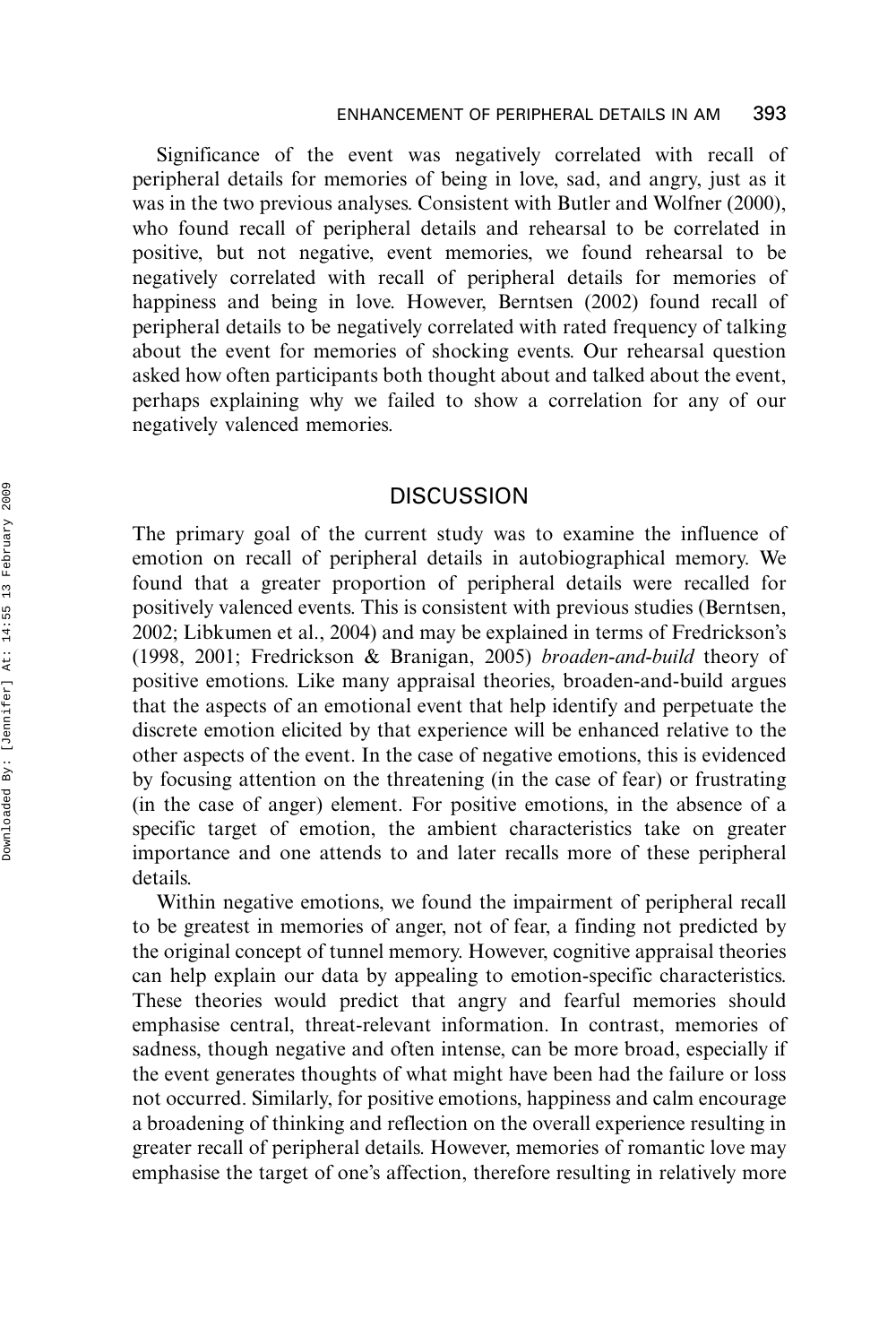Significance of the event was negatively correlated with recall of peripheral details for memories of being in love, sad, and angry, just as it was in the two previous analyses. Consistent with Butler and Wolfner (2000), who found recall of peripheral details and rehearsal to be correlated in positive, but not negative, event memories, we found rehearsal to be negatively correlated with recall of peripheral details for memories of happiness and being in love. However, Berntsen (2002) found recall of peripheral details to be negatively correlated with rated frequency of talking about the event for memories of shocking events. Our rehearsal question asked how often participants both thought about and talked about the event, perhaps explaining why we failed to show a correlation for any of our negatively valenced memories.

### **DISCUSSION**

The primary goal of the current study was to examine the influence of emotion on recall of peripheral details in autobiographical memory. We found that a greater proportion of peripheral details were recalled for positively valenced events. This is consistent with previous studies (Berntsen, 2002; Libkumen et al., 2004) and may be explained in terms of Fredrickson's (1998, 2001; Fredrickson & Branigan, 2005) broaden-and-build theory of positive emotions. Like many appraisal theories, broaden-and-build argues that the aspects of an emotional event that help identify and perpetuate the discrete emotion elicited by that experience will be enhanced relative to the other aspects of the event. In the case of negative emotions, this is evidenced by focusing attention on the threatening (in the case of fear) or frustrating (in the case of anger) element. For positive emotions, in the absence of a specific target of emotion, the ambient characteristics take on greater importance and one attends to and later recalls more of these peripheral details.

Within negative emotions, we found the impairment of peripheral recall to be greatest in memories of anger, not of fear, a finding not predicted by the original concept of tunnel memory. However, cognitive appraisal theories can help explain our data by appealing to emotion-specific characteristics. These theories would predict that angry and fearful memories should emphasise central, threat-relevant information. In contrast, memories of sadness, though negative and often intense, can be more broad, especially if the event generates thoughts of what might have been had the failure or loss not occurred. Similarly, for positive emotions, happiness and calm encourage a broadening of thinking and reflection on the overall experience resulting in greater recall of peripheral details. However, memories of romantic love may emphasise the target of one's affection, therefore resulting in relatively more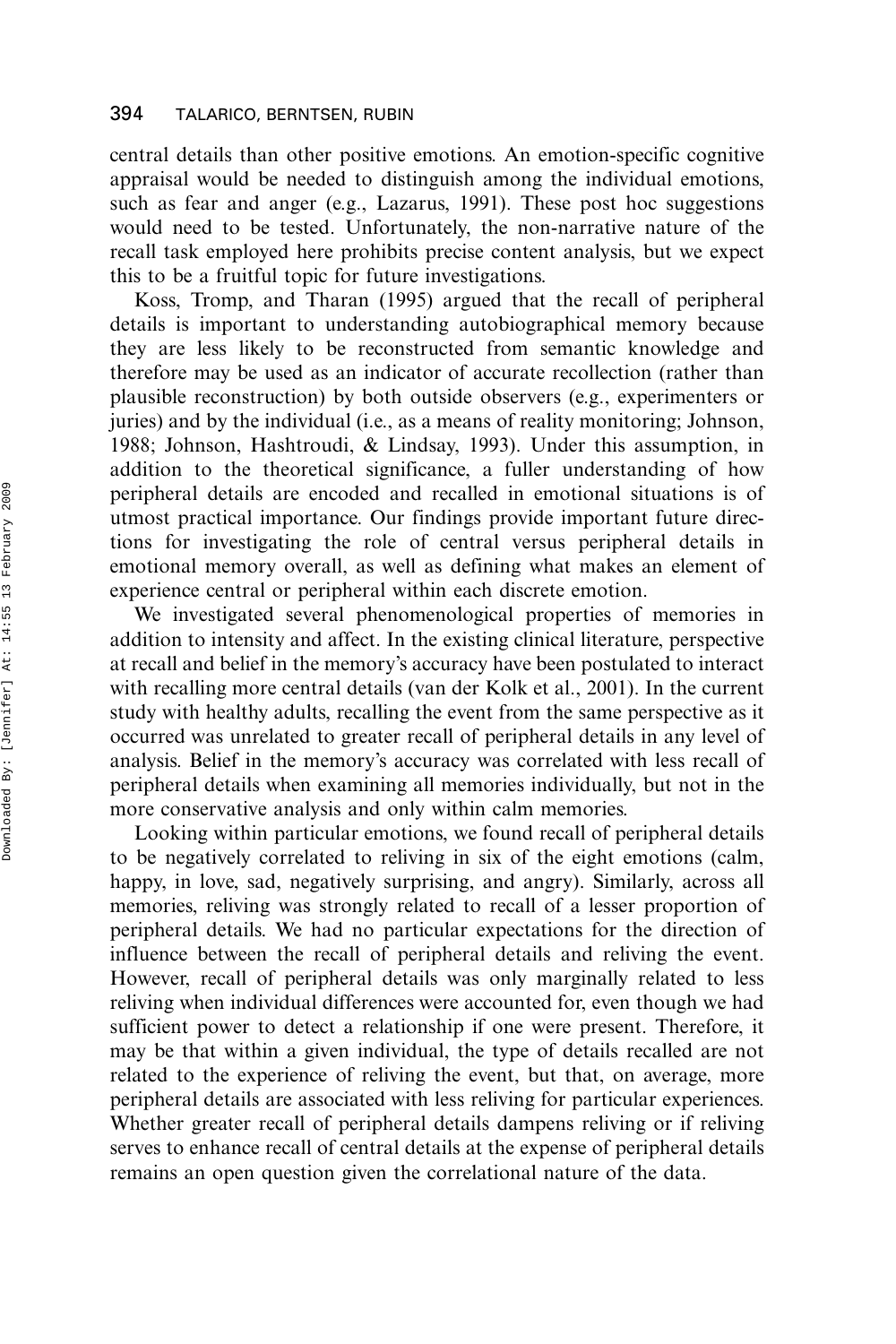central details than other positive emotions. An emotion-specific cognitive appraisal would be needed to distinguish among the individual emotions, such as fear and anger (e.g., Lazarus, 1991). These post hoc suggestions would need to be tested. Unfortunately, the non-narrative nature of the recall task employed here prohibits precise content analysis, but we expect this to be a fruitful topic for future investigations.

Koss, Tromp, and Tharan (1995) argued that the recall of peripheral details is important to understanding autobiographical memory because they are less likely to be reconstructed from semantic knowledge and therefore may be used as an indicator of accurate recollection (rather than plausible reconstruction) by both outside observers (e.g., experimenters or juries) and by the individual (i.e., as a means of reality monitoring; Johnson, 1988; Johnson, Hashtroudi, & Lindsay, 1993). Under this assumption, in addition to the theoretical significance, a fuller understanding of how peripheral details are encoded and recalled in emotional situations is of utmost practical importance. Our findings provide important future directions for investigating the role of central versus peripheral details in emotional memory overall, as well as defining what makes an element of experience central or peripheral within each discrete emotion.

We investigated several phenomenological properties of memories in addition to intensity and affect. In the existing clinical literature, perspective at recall and belief in the memory's accuracy have been postulated to interact with recalling more central details (van der Kolk et al., 2001). In the current study with healthy adults, recalling the event from the same perspective as it occurred was unrelated to greater recall of peripheral details in any level of analysis. Belief in the memory's accuracy was correlated with less recall of peripheral details when examining all memories individually, but not in the more conservative analysis and only within calm memories.

Looking within particular emotions, we found recall of peripheral details to be negatively correlated to reliving in six of the eight emotions (calm, happy, in love, sad, negatively surprising, and angry). Similarly, across all memories, reliving was strongly related to recall of a lesser proportion of peripheral details. We had no particular expectations for the direction of influence between the recall of peripheral details and reliving the event. However, recall of peripheral details was only marginally related to less reliving when individual differences were accounted for, even though we had sufficient power to detect a relationship if one were present. Therefore, it may be that within a given individual, the type of details recalled are not related to the experience of reliving the event, but that, on average, more peripheral details are associated with less reliving for particular experiences. Whether greater recall of peripheral details dampens reliving or if reliving serves to enhance recall of central details at the expense of peripheral details remains an open question given the correlational nature of the data.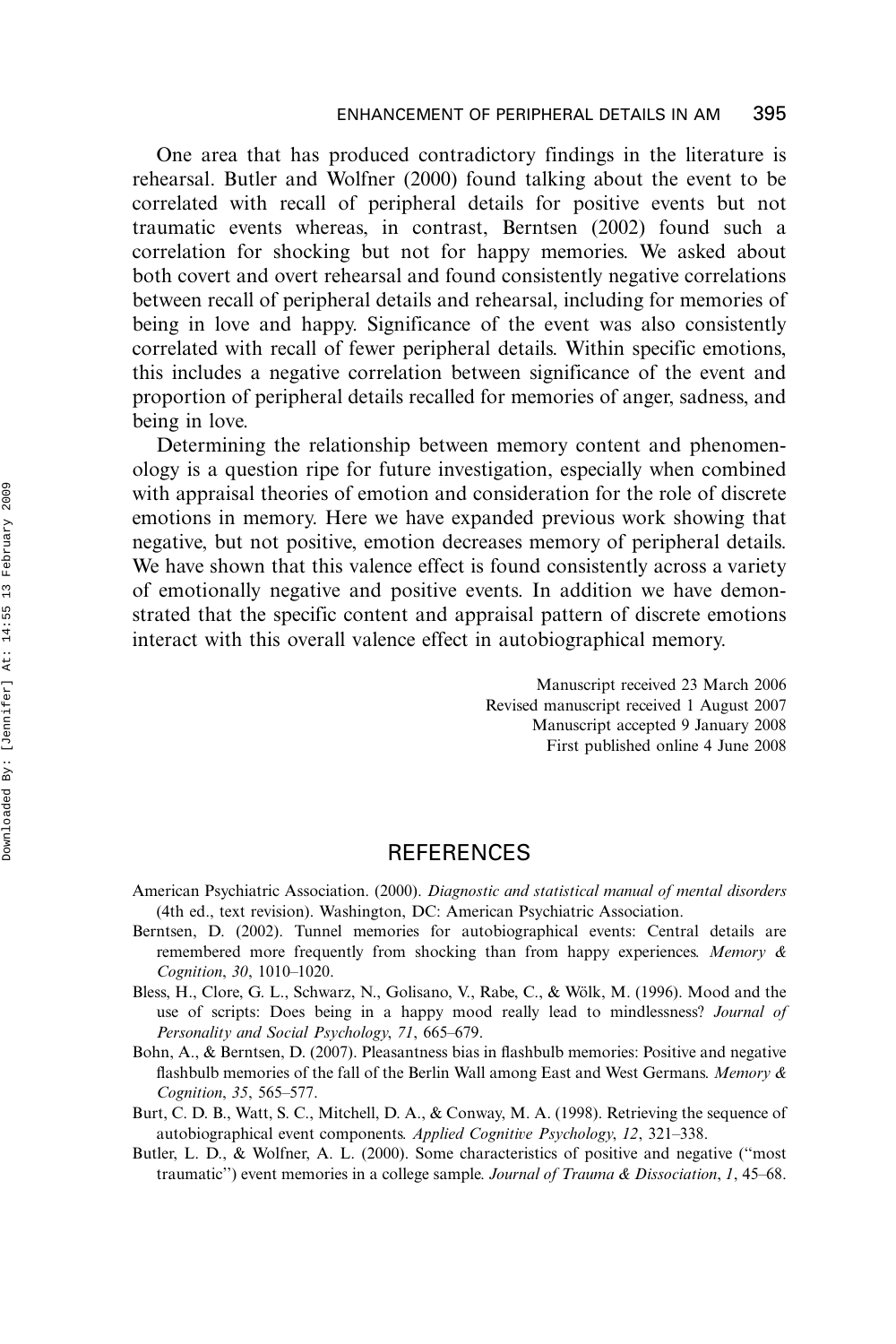One area that has produced contradictory findings in the literature is rehearsal. Butler and Wolfner (2000) found talking about the event to be correlated with recall of peripheral details for positive events but not traumatic events whereas, in contrast, Berntsen (2002) found such a correlation for shocking but not for happy memories. We asked about both covert and overt rehearsal and found consistently negative correlations between recall of peripheral details and rehearsal, including for memories of being in love and happy. Significance of the event was also consistently correlated with recall of fewer peripheral details. Within specific emotions, this includes a negative correlation between significance of the event and proportion of peripheral details recalled for memories of anger, sadness, and being in love.

Determining the relationship between memory content and phenomenology is a question ripe for future investigation, especially when combined with appraisal theories of emotion and consideration for the role of discrete emotions in memory. Here we have expanded previous work showing that negative, but not positive, emotion decreases memory of peripheral details. We have shown that this valence effect is found consistently across a variety of emotionally negative and positive events. In addition we have demonstrated that the specific content and appraisal pattern of discrete emotions interact with this overall valence effect in autobiographical memory.

> Manuscript received 23 March 2006 Revised manuscript received 1 August 2007 Manuscript accepted 9 January 2008 First published online 4 June 2008

## REFERENCES

- American Psychiatric Association. (2000). Diagnostic and statistical manual of mental disorders (4th ed., text revision). Washington, DC: American Psychiatric Association.
- Berntsen, D. (2002). Tunnel memories for autobiographical events: Central details are remembered more frequently from shocking than from happy experiences. Memory & Cognition, 30, 1010-1020.
- Bless, H., Clore, G. L., Schwarz, N., Golisano, V., Rabe, C., & Wölk, M. (1996). Mood and the use of scripts: Does being in a happy mood really lead to mindlessness? Journal of Personality and Social Psychology, 71, 665-679.
- Bohn, A., & Berntsen, D. (2007). Pleasantness bias in flashbulb memories: Positive and negative flashbulb memories of the fall of the Berlin Wall among East and West Germans. Memory & Cognition, 35, 565-577.
- Burt, C. D. B., Watt, S. C., Mitchell, D. A., & Conway, M. A. (1998). Retrieving the sequence of autobiographical event components. Applied Cognitive Psychology, 12, 321–338.
- Butler, L. D., & Wolfner, A. L. (2000). Some characteristics of positive and negative (''most traumatic'') event memories in a college sample. Journal of Trauma & Dissociation, 1, 45–68.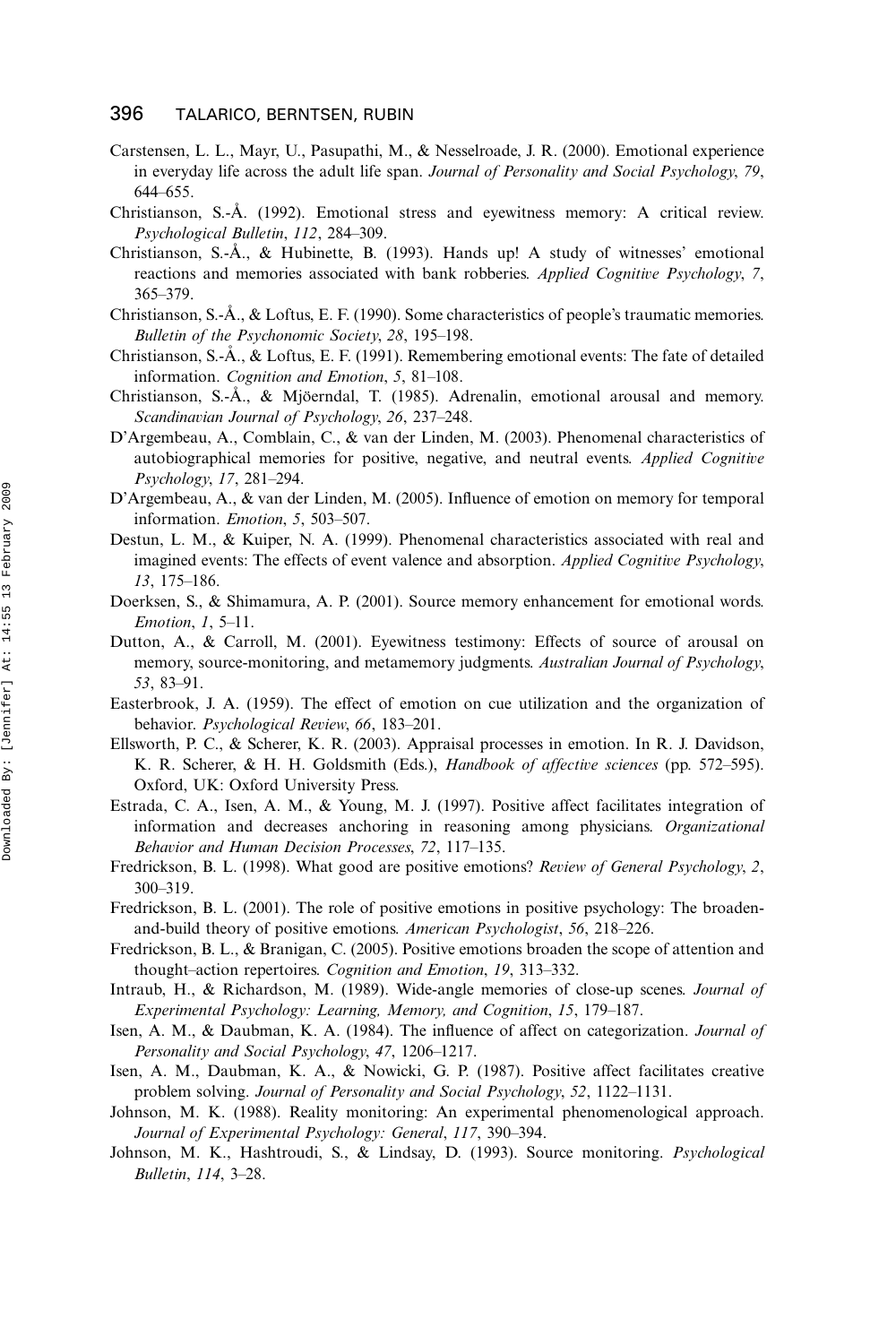- Carstensen, L. L., Mayr, U., Pasupathi, M., & Nesselroade, J. R. (2000). Emotional experience in everyday life across the adult life span. Journal of Personality and Social Psychology, 79, 644-655.
- Christianson, S.-Å. (1992). Emotional stress and eyewitness memory: A critical review. Psychological Bulletin, 112, 284-309.
- Christianson, S.-A., & Hubinette, B. (1993). Hands up! A study of witnesses' emotional reactions and memories associated with bank robberies. Applied Cognitive Psychology, 7, 365-379.
- Christianson, S.-A., & Loftus, E. F. (1990). Some characteristics of people's traumatic memories. Bulletin of the Psychonomic Society, 28, 195-198.
- Christianson, S.-A., & Loftus, E. F. (1991). Remembering emotional events: The fate of detailed information. Cognition and Emotion, 5, 81-108.
- Christianson, S.-A., & Mjöerndal, T. (1985). Adrenalin, emotional arousal and memory. Scandinavian Journal of Psychology, 26, 237-248.
- D'Argembeau, A., Comblain, C., & van der Linden, M. (2003). Phenomenal characteristics of autobiographical memories for positive, negative, and neutral events. Applied Cognitive Psychology, 17, 281-294.
- D'Argembeau, A., & van der Linden, M. (2005). Influence of emotion on memory for temporal information. Emotion, 5, 503-507.
- Destun, L. M., & Kuiper, N. A. (1999). Phenomenal characteristics associated with real and imagined events: The effects of event valence and absorption. Applied Cognitive Psychology, 13, 175-186.
- Doerksen, S., & Shimamura, A. P. (2001). Source memory enhancement for emotional words. Emotion,  $1, 5-11$ .
- Dutton, A., & Carroll, M. (2001). Eyewitness testimony: Effects of source of arousal on memory, source-monitoring, and metamemory judgments. Australian Journal of Psychology, 53, 83–91.
- Easterbrook, J. A. (1959). The effect of emotion on cue utilization and the organization of behavior. Psychological Review, 66, 183-201.
- Ellsworth, P. C., & Scherer, K. R. (2003). Appraisal processes in emotion. In R. J. Davidson, K. R. Scherer, & H. H. Goldsmith (Eds.), Handbook of affective sciences (pp. 572-595). Oxford, UK: Oxford University Press.
- Estrada, C. A., Isen, A. M., & Young, M. J. (1997). Positive affect facilitates integration of information and decreases anchoring in reasoning among physicians. Organizational Behavior and Human Decision Processes, 72, 117-135.
- Fredrickson, B. L. (1998). What good are positive emotions? Review of General Psychology, 2, 300319.
- Fredrickson, B. L. (2001). The role of positive emotions in positive psychology: The broadenand-build theory of positive emotions. American Psychologist, 56, 218-226.
- Fredrickson, B. L., & Branigan, C. (2005). Positive emotions broaden the scope of attention and thought-action repertoires. Cognition and Emotion, 19, 313-332.
- Intraub, H., & Richardson, M. (1989). Wide-angle memories of close-up scenes. Journal of Experimental Psychology: Learning, Memory, and Cognition, 15, 179-187.
- Isen, A. M., & Daubman, K. A. (1984). The influence of affect on categorization. Journal of Personality and Social Psychology, 47, 1206–1217.
- Isen, A. M., Daubman, K. A., & Nowicki, G. P. (1987). Positive affect facilitates creative problem solving. Journal of Personality and Social Psychology, 52, 1122-1131.
- Johnson, M. K. (1988). Reality monitoring: An experimental phenomenological approach. Journal of Experimental Psychology: General, 117, 390–394.
- Johnson, M. K., Hashtroudi, S., & Lindsay, D. (1993). Source monitoring. Psychological Bulletin, 114, 3-28.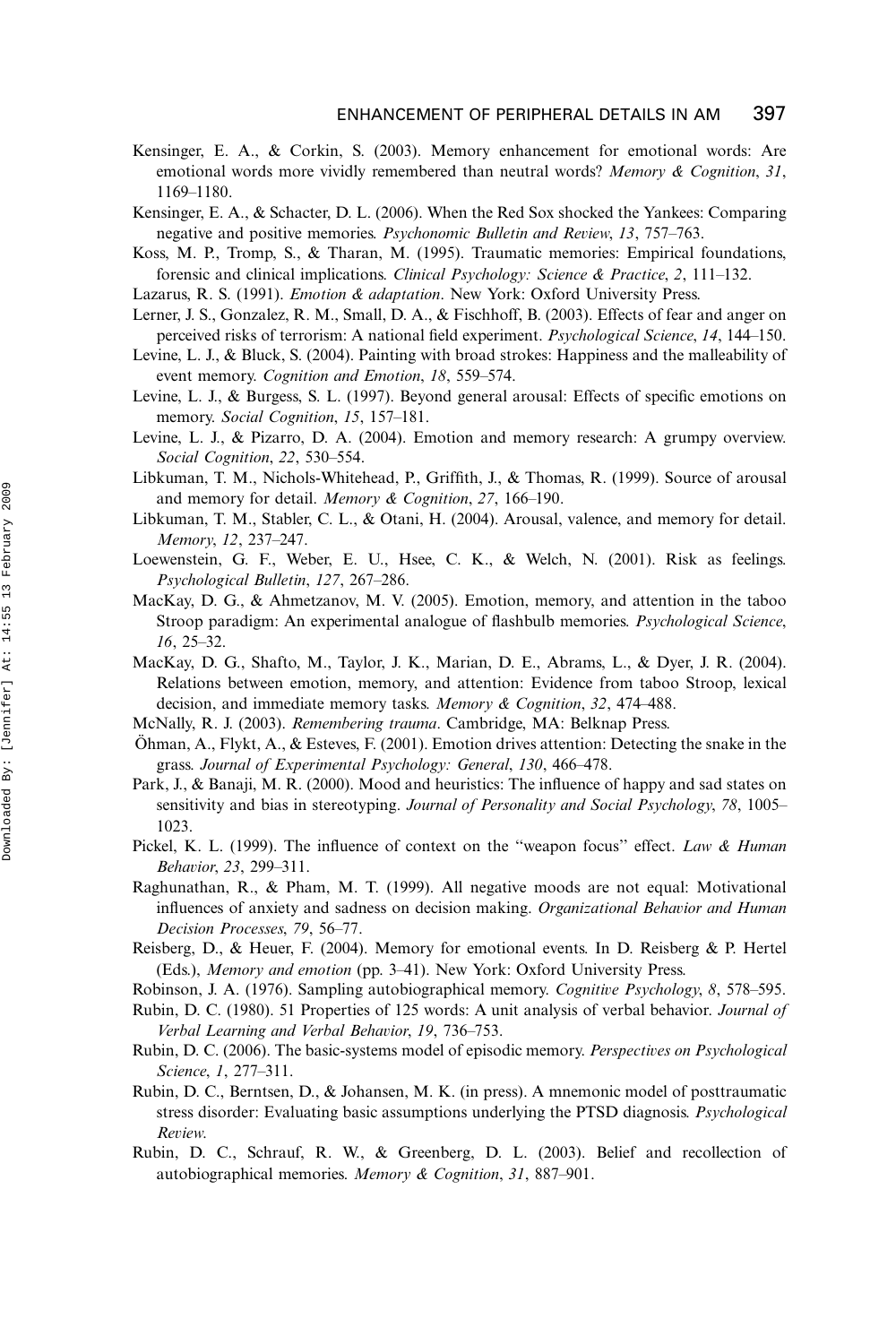- Kensinger, E. A., & Corkin, S. (2003). Memory enhancement for emotional words: Are emotional words more vividly remembered than neutral words? Memory & Cognition, 31, 1169-1180.
- Kensinger, E. A., & Schacter, D. L. (2006). When the Red Sox shocked the Yankees: Comparing negative and positive memories. Psychonomic Bulletin and Review, 13, 757-763.
- Koss, M. P., Tromp, S., & Tharan, M. (1995). Traumatic memories: Empirical foundations, forensic and clinical implications. Clinical Psychology: Science & Practice, 2, 111-132.
- Lazarus, R. S. (1991). Emotion & adaptation. New York: Oxford University Press.
- Lerner, J. S., Gonzalez, R. M., Small, D. A., & Fischhoff, B. (2003). Effects of fear and anger on perceived risks of terrorism: A national field experiment. *Psychological Science*, 14, 144–150.
- Levine, L. J., & Bluck, S. (2004). Painting with broad strokes: Happiness and the malleability of event memory. Cognition and Emotion, 18, 559-574.
- Levine, L. J., & Burgess, S. L. (1997). Beyond general arousal: Effects of specific emotions on memory. Social Cognition, 15, 157-181.
- Levine, L. J., & Pizarro, D. A. (2004). Emotion and memory research: A grumpy overview. Social Cognition, 22, 530-554.
- Libkuman, T. M., Nichols-Whitehead, P., Griffith, J., & Thomas, R. (1999). Source of arousal and memory for detail. Memory  $\&$  Cognition, 27, 166–190.
- Libkuman, T. M., Stabler, C. L., & Otani, H. (2004). Arousal, valence, and memory for detail. Memory, 12, 237-247.
- Loewenstein, G. F., Weber, E. U., Hsee, C. K., & Welch, N. (2001). Risk as feelings. Psychological Bulletin, 127, 267-286.
- MacKay, D. G., & Ahmetzanov, M. V. (2005). Emotion, memory, and attention in the taboo Stroop paradigm: An experimental analogue of flashbulb memories. Psychological Science,  $16, 25 - 32$
- MacKay, D. G., Shafto, M., Taylor, J. K., Marian, D. E., Abrams, L., & Dyer, J. R. (2004). Relations between emotion, memory, and attention: Evidence from taboo Stroop, lexical decision, and immediate memory tasks. Memory & Cognition, 32, 474-488.
- McNally, R. J. (2003). Remembering trauma. Cambridge, MA: Belknap Press.
- $\ddot{\text{Ohman}}$ , A., Flykt, A., & Esteves, F. (2001). Emotion drives attention: Detecting the snake in the grass. Journal of Experimental Psychology: General, 130, 466-478.
- Park, J., & Banaji, M. R. (2000). Mood and heuristics: The influence of happy and sad states on sensitivity and bias in stereotyping. Journal of Personality and Social Psychology, 78, 1005– 1023.
- Pickel, K. L. (1999). The influence of context on the "weapon focus" effect. Law & Human Behavior, 23, 299-311.
- Raghunathan, R., & Pham, M. T. (1999). All negative moods are not equal: Motivational influences of anxiety and sadness on decision making. Organizational Behavior and Human Decision Processes, 79, 56-77.
- Reisberg, D., & Heuer, F. (2004). Memory for emotional events. In D. Reisberg & P. Hertel (Eds.), Memory and emotion (pp. 3-41). New York: Oxford University Press.
- Robinson, J. A. (1976). Sampling autobiographical memory. Cognitive Psychology, 8, 578-595.
- Rubin, D. C. (1980). 51 Properties of 125 words: A unit analysis of verbal behavior. Journal of Verbal Learning and Verbal Behavior, 19, 736–753.
- Rubin, D. C. (2006). The basic-systems model of episodic memory. Perspectives on Psychological Science, 1, 277-311.
- Rubin, D. C., Berntsen, D., & Johansen, M. K. (in press). A mnemonic model of posttraumatic stress disorder: Evaluating basic assumptions underlying the PTSD diagnosis. Psychological Review.
- Rubin, D. C., Schrauf, R. W., & Greenberg, D. L. (2003). Belief and recollection of autobiographical memories. Memory & Cognition, 31, 887-901.